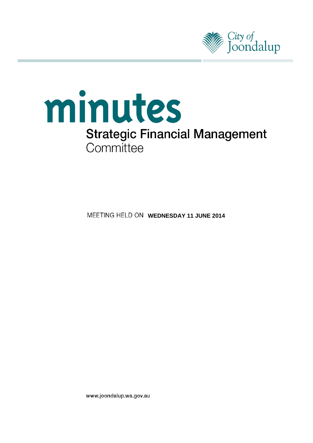



**MEETING HELD ON WEDNESDAY 11 JUNE 2014** 

www.joondalup.wa.gov.au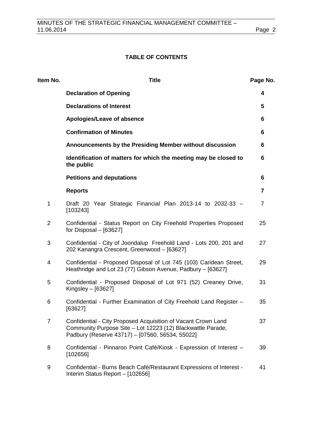# **TABLE OF CONTENTS**

| Item No.       | <b>Title</b>                                                                                                                                                                    | Page No.       |
|----------------|---------------------------------------------------------------------------------------------------------------------------------------------------------------------------------|----------------|
|                | <b>Declaration of Opening</b>                                                                                                                                                   | 4              |
|                | <b>Declarations of Interest</b>                                                                                                                                                 | 5              |
|                | Apologies/Leave of absence                                                                                                                                                      | 6              |
|                | <b>Confirmation of Minutes</b>                                                                                                                                                  | 6              |
|                | Announcements by the Presiding Member without discussion                                                                                                                        | 6              |
|                | Identification of matters for which the meeting may be closed to<br>the public                                                                                                  | 6              |
|                | <b>Petitions and deputations</b>                                                                                                                                                | 6              |
|                | <b>Reports</b>                                                                                                                                                                  | 7              |
| 1              | Draft 20 Year Strategic Financial Plan 2013-14 to 2032-33 -<br>[103243]                                                                                                         | $\overline{7}$ |
| $\overline{2}$ | Confidential - Status Report on City Freehold Properties Proposed<br>for Disposal $-$ [63627]                                                                                   | 25             |
| 3              | Confidential - City of Joondalup Freehold Land - Lots 200, 201 and<br>202 Kanangra Crescent, Greenwood - [63627]                                                                | 27             |
| 4              | Confidential - Proposed Disposal of Lot 745 (103) Caridean Street,<br>Heathridge and Lot 23 (77) Gibson Avenue, Padbury - [63627]                                               | 29             |
| 5              | Confidential - Proposed Disposal of Lot 971 (52) Creaney Drive,<br>Kingsley $-$ [63627]                                                                                         | 31             |
| 6              | Confidential - Further Examination of City Freehold Land Register -<br>[63627]                                                                                                  | 35             |
| $\overline{7}$ | Confidential - City Proposed Acquisition of Vacant Crown Land<br>Community Purpose Site - Lot 12223 (12) Blackwattle Parade,<br>Padbury (Reserve 43717) - [07560, 56534, 55022] | 37             |
| 8              | Confidential - Pinnaroo Point Café/Kiosk - Expression of Interest -<br>[102656]                                                                                                 | 39             |
| 9              | Confidential - Burns Beach Café/Restaurant Expressions of Interest -<br>Interim Status Report - [102656]                                                                        | 41             |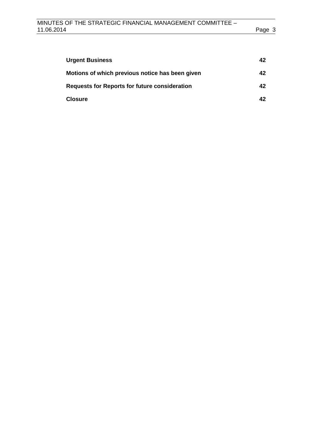| <b>Urgent Business</b>                               | 42 |
|------------------------------------------------------|----|
| Motions of which previous notice has been given      | 42 |
| <b>Requests for Reports for future consideration</b> | 42 |
| <b>Closure</b>                                       | 42 |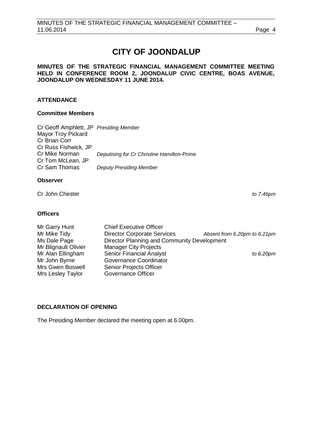# **CITY OF JOONDALUP**

## **MINUTES OF THE STRATEGIC FINANCIAL MANAGEMENT COMMITTEE MEETING HELD IN CONFERENCE ROOM 2, JOONDALUP CIVIC CENTRE, BOAS AVENUE, JOONDALUP ON WEDNESDAY 11 JUNE 2014.**

# **ATTENDANCE**

# **Committee Members**

| Cr Geoff Amphlett, JP Presiding Member |                                            |
|----------------------------------------|--------------------------------------------|
| <b>Mayor Troy Pickard</b>              |                                            |
| Cr Brian Corr                          |                                            |
| Cr Russ Fishwick, JP                   |                                            |
| Cr Mike Norman                         | Deputising for Cr Christine Hamilton-Prime |
| Cr Tom McLean, JP                      |                                            |
| Cr Sam Thomas                          | <b>Deputy Presiding Member</b>             |
|                                        |                                            |

## **Observer**

Cr John Chester *to 7.46pm*

## **Officers**

| Mr Garry Hunt        | <b>Chief Executive Officer</b>              |                              |
|----------------------|---------------------------------------------|------------------------------|
| Mr Mike Tidy         | <b>Director Corporate Services</b>          | Absent from 6.20pm to 6.21pm |
| Ms Dale Page         | Director Planning and Community Development |                              |
| Mr Blignault Olivier | <b>Manager City Projects</b>                |                              |
| Mr Alan Ellingham    | <b>Senior Financial Analyst</b>             | to $6.20$ pm                 |
| Mr John Byrne        | Governance Coordinator                      |                              |
| Mrs Gwen Boswell     | Senior Projects Officer                     |                              |
| Mrs Lesley Taylor    | Governance Officer                          |                              |

# <span id="page-3-0"></span>**DECLARATION OF OPENING**

The Presiding Member declared the meeting open at 6.00pm.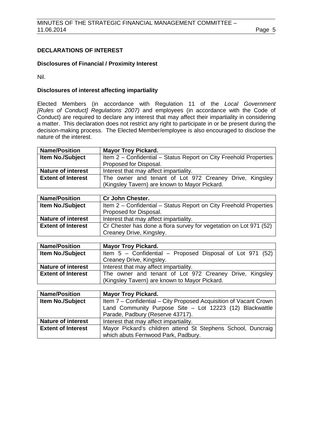# <span id="page-4-0"></span>**DECLARATIONS OF INTEREST**

## **Disclosures of Financial / Proximity Interest**

Nil.

# **Disclosures of interest affecting impartiality**

Elected Members (in accordance with Regulation 11 of the *Local Government [Rules of Conduct] Regulations 2007)* and employees (in accordance with the Code of Conduct) are required to declare any interest that may affect their impartiality in considering a matter. This declaration does not restrict any right to participate in or be present during the decision-making process. The Elected Member/employee is also encouraged to disclose the nature of the interest.

| <b>Name/Position</b>      | <b>Mayor Troy Pickard.</b>                                                                               |  |  |  |  |  |
|---------------------------|----------------------------------------------------------------------------------------------------------|--|--|--|--|--|
| <b>Item No./Subject</b>   | Item 2 - Confidential - Status Report on City Freehold Properties                                        |  |  |  |  |  |
|                           | Proposed for Disposal.                                                                                   |  |  |  |  |  |
| <b>Nature of interest</b> | Interest that may affect impartiality.                                                                   |  |  |  |  |  |
| <b>Extent of Interest</b> | The owner and tenant of Lot 972 Creaney Drive, Kingsley<br>(Kingsley Tavern) are known to Mayor Pickard. |  |  |  |  |  |

| <b>Name/Position</b>                                                                         | <b>Cr John Chester.</b>                                           |  |  |
|----------------------------------------------------------------------------------------------|-------------------------------------------------------------------|--|--|
| <b>Item No./Subject</b><br>Item 2 – Confidential – Status Report on City Freehold Properties |                                                                   |  |  |
|                                                                                              | Proposed for Disposal.                                            |  |  |
| <b>Nature of interest</b>                                                                    | Interest that may affect impartiality.                            |  |  |
| <b>Extent of Interest</b>                                                                    | Cr Chester has done a flora survey for vegetation on Lot 971 (52) |  |  |
|                                                                                              | Creaney Drive, Kingsley.                                          |  |  |

| <b>Name/Position</b>      | <b>Mayor Troy Pickard.</b>                                  |  |  |  |  |
|---------------------------|-------------------------------------------------------------|--|--|--|--|
| Item No./Subject          | Item $5$ – Confidential – Proposed Disposal of Lot 971 (52) |  |  |  |  |
|                           | Creaney Drive, Kingsley.                                    |  |  |  |  |
| <b>Nature of interest</b> | Interest that may affect impartiality.                      |  |  |  |  |
| <b>Extent of Interest</b> | The owner and tenant of Lot 972 Creaney Drive, Kingsley     |  |  |  |  |
|                           | (Kingsley Tavern) are known to Mayor Pickard.               |  |  |  |  |

| <b>Name/Position</b>      | <b>Mayor Troy Pickard.</b>                                        |  |  |  |  |  |
|---------------------------|-------------------------------------------------------------------|--|--|--|--|--|
| <b>Item No./Subject</b>   | Item 7 - Confidential - City Proposed Acquisition of Vacant Crown |  |  |  |  |  |
|                           | Land Community Purpose Site - Lot 12223 (12) Blackwattle          |  |  |  |  |  |
|                           | Parade, Padbury (Reserve 43717).                                  |  |  |  |  |  |
| <b>Nature of interest</b> | Interest that may affect impartiality.                            |  |  |  |  |  |
| <b>Extent of Interest</b> | Mayor Pickard's children attend St Stephens School, Duncraig      |  |  |  |  |  |
|                           | which abuts Fernwood Park, Padbury.                               |  |  |  |  |  |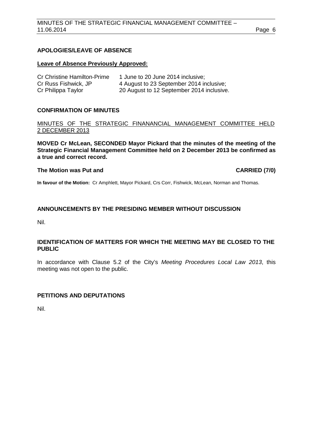# <span id="page-5-0"></span>**APOLOGIES/LEAVE OF ABSENCE**

#### **Leave of Absence Previously Approved:**

| <b>Cr Christine Hamilton-Prime</b> | 1 June to 20 June 2014 inclusive;         |
|------------------------------------|-------------------------------------------|
| Cr Russ Fishwick, JP               | 4 August to 23 September 2014 inclusive;  |
| Cr Philippa Taylor                 | 20 August to 12 September 2014 inclusive. |

# <span id="page-5-1"></span>**CONFIRMATION OF MINUTES**

MINUTES OF THE STRATEGIC FINANANCIAL MANAGEMENT COMMITTEE HELD 2 DECEMBER 2013

**MOVED Cr McLean, SECONDED Mayor Pickard that the minutes of the meeting of the Strategic Financial Management Committee held on 2 December 2013 be confirmed as a true and correct record.**

# **The Motion was Put and CARRIED (7/0)**

**In favour of the Motion:** Cr Amphlett, Mayor Pickard, Crs Corr, Fishwick, McLean, Norman and Thomas.

# <span id="page-5-2"></span>**ANNOUNCEMENTS BY THE PRESIDING MEMBER WITHOUT DISCUSSION**

Nil.

## <span id="page-5-3"></span>**IDENTIFICATION OF MATTERS FOR WHICH THE MEETING MAY BE CLOSED TO THE PUBLIC**

In accordance with Clause 5.2 of the City's *Meeting Procedures Local Law 2013*, this meeting was not open to the public.

# <span id="page-5-4"></span>**PETITIONS AND DEPUTATIONS**

Nil.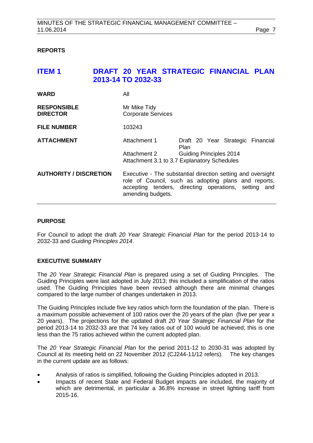# <span id="page-6-0"></span>**REPORTS**

<span id="page-6-1"></span>

| <b>ITEM1</b>                          | 2013-14 TO 2032-33 |        |                                                             |             |  | DRAFT 20 YEAR STRATEGIC FINANCIAL PLAN                                                                                                                                      |  |
|---------------------------------------|--------------------|--------|-------------------------------------------------------------|-------------|--|-----------------------------------------------------------------------------------------------------------------------------------------------------------------------------|--|
| <b>WARD</b>                           |                    | All    |                                                             |             |  |                                                                                                                                                                             |  |
| <b>RESPONSIBLE</b><br><b>DIRECTOR</b> |                    |        | Mr Mike Tidy<br><b>Corporate Services</b>                   |             |  |                                                                                                                                                                             |  |
| <b>FILE NUMBER</b>                    |                    | 103243 |                                                             |             |  |                                                                                                                                                                             |  |
| <b>ATTACHMENT</b>                     |                    |        | Attachment 1                                                | <b>Plan</b> |  | Draft 20 Year Strategic Financial                                                                                                                                           |  |
|                                       |                    |        | Attachment 2<br>Attachment 3.1 to 3.7 Explanatory Schedules |             |  | <b>Guiding Principles 2014</b>                                                                                                                                              |  |
| <b>AUTHORITY / DISCRETION</b>         |                    |        | amending budgets.                                           |             |  | Executive - The substantial direction setting and oversight<br>role of Council, such as adopting plans and reports,<br>accepting tenders, directing operations, setting and |  |

# **PURPOSE**

For Council to adopt the draft *20 Year Strategic Financial Plan* for the period 2013-14 to 2032-33 and *Guiding Principles 2014*.

#### **EXECUTIVE SUMMARY**

The *20 Year Strategic Financial Plan* is prepared using a set of Guiding Principles. The Guiding Principles were last adopted in July 2013; this included a simplification of the ratios used. The Guiding Principles have been revised although there are minimal changes compared to the large number of changes undertaken in 2013.

The Guiding Principles include five key ratios which form the foundation of the plan. There is a maximum possible achievement of 100 ratios over the 20 years of the plan (five per year x 20 years). The projections for the updated draft *20 Year Strategic Financial Plan* for the period 2013-14 to 2032-33 are that 74 key ratios out of 100 would be achieved; this is one less than the 75 ratios achieved within the current adopted plan.

The *20 Year Strategic Financial Plan* for the period 2011-12 to 2030-31 was adopted by Council at its meeting held on 22 November 2012 (CJ244-11/12 refers). The key changes in the current update are as follows:

- Analysis of ratios is simplified, following the Guiding Principles adopted in 2013.
- Impacts of recent State and Federal Budget impacts are included, the majority of which are detrimental, in particular a 36.8% increase in street lighting tariff from 2015-16.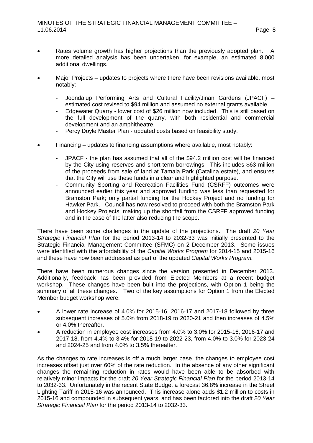- Rates volume growth has higher projections than the previously adopted plan. A more detailed analysis has been undertaken, for example, an estimated 8,000 additional dwellings.
- Major Projects updates to projects where there have been revisions available, most notably:
	- Joondalup Performing Arts and Cultural Facility/Jinan Gardens (JPACF) estimated cost revised to \$94 million and assumed no external grants available.
	- Edgewater Quarry lower cost of \$26 million now included. This is still based on the full development of the quarry, with both residential and commercial development and an amphitheatre.
	- Percy Doyle Master Plan updated costs based on feasibility study.
- Financing updates to financing assumptions where available, most notably:
	- JPACF the plan has assumed that all of the \$94.2 million cost will be financed by the City using reserves and short-term borrowings. This includes \$63 million of the proceeds from sale of land at Tamala Park (Catalina estate), and ensures that the City will use these funds in a clear and highlighted purpose.
	- Community Sporting and Recreation Facilities Fund (CSRFF) outcomes were announced earlier this year and approved funding was less than requested for Bramston Park; only partial funding for the Hockey Project and no funding for Hawker Park. Council has now resolved to proceed with both the Bramston Park and Hockey Projects, making up the shortfall from the CSRFF approved funding and in the case of the latter also reducing the scope.

There have been some challenges in the update of the projections. The draft *20 Year Strategic Financial Plan* for the period 2013-14 to 2032-33 was initially presented to the Strategic Financial Management Committee (SFMC) on 2 December 2013. Some issues were identified with the affordability of the *Capital Works Program* for 2014-15 and 2015-16 and these have now been addressed as part of the updated *Capital Works Program.*

There have been numerous changes since the version presented in December 2013. Additionally, feedback has been provided from Elected Members at a recent budget workshop. These changes have been built into the projections, with Option 1 being the summary of all these changes. Two of the key assumptions for Option 1 from the Elected Member budget workshop were:

- A lower rate increase of 4.0% for 2015-16, 2016-17 and 2017-18 followed by three subsequent increases of 5.0% from 2018-19 to 2020-21 and then increases of 4.5% or 4.0% thereafter.
- A reduction in employee cost increases from 4.0% to 3.0% for 2015-16, 2016-17 and 2017-18, from 4.4% to 3.4% for 2018-19 to 2022-23, from 4.0% to 3.0% for 2023-24 and 2024-25 and from 4.0% to 3.5% thereafter.

As the changes to rate increases is off a much larger base, the changes to employee cost increases offset just over 60% of the rate reduction. In the absence of any other significant changes the remaining reduction in rates would have been able to be absorbed with relatively minor impacts for the draft *20 Year Strategic Financial Plan* for the period 2013-14 to 2032-33. Unfortunately in the recent State Budget a forecast 36.8% increase in the Street Lighting Tariff in 2015-16 was announced. This increase alone adds \$1.2 million to costs in 2015-16 and compounded in subsequent years, and has been factored into the draft *20 Year Strategic Financial Plan* for the period 2013-14 to 2032-33.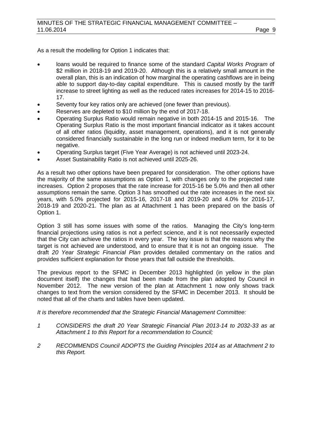As a result the modelling for Option 1 indicates that:

- loans would be required to finance some of the standard *Capital Works Program* of \$2 million in 2018-19 and 2019-20. Although this is a relatively small amount in the overall plan, this is an indication of how marginal the operating cashflows are in being able to support day-to-day capital expenditure. This is caused mostly by the tariff increase to street lighting as well as the reduced rates increases for 2014-15 to 2016- 17.
- Seventy four key ratios only are achieved (one fewer than previous).
- Reserves are depleted to \$10 million by the end of 2017-18.
- Operating Surplus Ratio would remain negative in both 2014-15 and 2015-16. The Operating Surplus Ratio is the most important financial indicator as it takes account of all other ratios (liquidity, asset management, operations), and it is not generally considered financially sustainable in the long run or indeed medium term, for it to be negative.
- Operating Surplus target (Five Year Average) is not achieved until 2023-24.
- Asset Sustainability Ratio is not achieved until 2025-26.

As a result two other options have been prepared for consideration. The other options have the majority of the same assumptions as Option 1, with changes only to the projected rate increases. Option 2 proposes that the rate increase for 2015-16 be 5.0% and then all other assumptions remain the same. Option 3 has smoothed out the rate increases in the next six years, with 5.0% projected for 2015-16, 2017-18 and 2019-20 and 4.0% for 2016-17, 2018-19 and 2020-21. The plan as at Attachment 1 has been prepared on the basis of Option 1.

Option 3 still has some issues with some of the ratios. Managing the City's long-term financial projections using ratios is not a perfect science, and it is not necessarily expected that the City can achieve the ratios in every year. The key issue is that the reasons why the target is not achieved are understood, and to ensure that it is not an ongoing issue. The draft *20 Year Strategic Financial Plan* provides detailed commentary on the ratios and provides sufficient explanation for those years that fall outside the thresholds.

The previous report to the SFMC in December 2013 highlighted (in yellow in the plan document itself) the changes that had been made from the plan adopted by Council in November 2012. The new version of the plan at Attachment 1 now only shows track changes to text from the version considered by the SFMC in December 2013. It should be noted that all of the charts and tables have been updated.

*It is therefore recommended that the Strategic Financial Management Committee:*

- *1 CONSIDERS the draft 20 Year Strategic Financial Plan 2013-14 to 2032-33 as at Attachment 1 to this Report for a recommendation to Council;*
- *2 RECOMMENDS Council ADOPTS the Guiding Principles 2014 as at Attachment 2 to this Report.*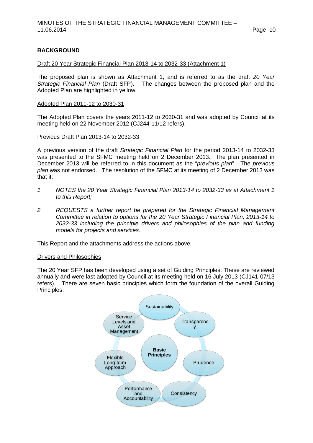# **BACKGROUND**

#### Draft 20 Year Strategic Financial Plan 2013-14 to 2032-33 (Attachment 1)

The proposed plan is shown as Attachment 1, and is referred to as the draft *20 Year*  The changes between the proposed plan and the Adopted Plan are highlighted in yellow.

#### Adopted Plan 2011-12 to 2030-31

The Adopted Plan covers the years 2011-12 to 2030-31 and was adopted by Council at its meeting held on 22 November 2012 (CJ244-11/12 refers).

## Previous Draft Plan 2013-14 to 2032-33

A previous version of the draft *Strategic Financial Plan* for the period 2013-14 to 2032-33 was presented to the SFMC meeting held on 2 December 2013. The plan presented in December 2013 will be referred to in this document as the "*previous plan*". The *previous plan* was not endorsed. The resolution of the SFMC at its meeting of 2 December 2013 was that it:

- *1 NOTES the 20 Year Strategic Financial Plan 2013-14 to 2032-33 as at Attachment 1 to this Report;*
- *2 REQUESTS a further report be prepared for the Strategic Financial Management Committee in relation to options for the 20 Year Strategic Financial Plan, 2013-14 to 2032-33 including the principle drivers and philosophies of the plan and funding models for projects and services.*

This Report and the attachments address the actions above.

#### Drivers and Philosophies

The 20 Year SFP has been developed using a set of Guiding Principles. These are reviewed annually and were last adopted by Council at its meeting held on 16 July 2013 (CJ141-07/13 refers). There are seven basic principles which form the foundation of the overall Guiding Principles:

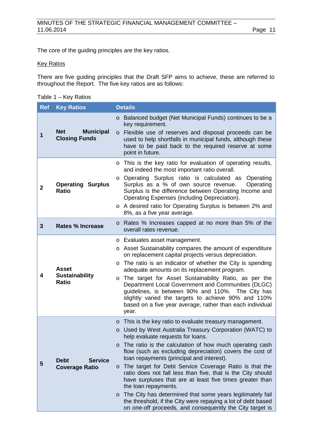The core of the guiding principles are the key ratios.

## **Key Ratios**

There are five guiding principles that the Draft SFP aims to achieve, these are referred to throughout the Report. The five key ratios are as follows:

Table 1 – Key Ratios

| <b>Ref</b>  | <b>Key Ratios</b>                                      | <b>Details</b>                                                                                                                                                                                                                                                                                                                                                                                                                                                                                                                                                                                                                                                                                                                                                      |
|-------------|--------------------------------------------------------|---------------------------------------------------------------------------------------------------------------------------------------------------------------------------------------------------------------------------------------------------------------------------------------------------------------------------------------------------------------------------------------------------------------------------------------------------------------------------------------------------------------------------------------------------------------------------------------------------------------------------------------------------------------------------------------------------------------------------------------------------------------------|
| 1           | <b>Net</b><br><b>Municipal</b><br><b>Closing Funds</b> | Balanced budget (Net Municipal Funds) continues to be a<br>$\circ$<br>key requirement.<br>Flexible use of reserves and disposal proceeds can be<br>$\circ$<br>used to help shortfalls in municipal funds, although these<br>have to be paid back to the required reserve at some<br>point in future.                                                                                                                                                                                                                                                                                                                                                                                                                                                                |
| $\mathbf 2$ | <b>Operating Surplus</b><br><b>Ratio</b>               | o This is the key ratio for evaluation of operating results,<br>and indeed the most important ratio overall.<br>o Operating Surplus ratio is calculated as<br>Operating<br>Surplus as a % of own source revenue.<br>Operating<br>Surplus is the difference between Operating Income and<br>Operating Expenses (including Depreciation).<br>o A desired ratio for Operating Surplus is between 2% and<br>8%, as a five year average.                                                                                                                                                                                                                                                                                                                                 |
| 3           | <b>Rates % Increase</b>                                | o Rates % Increases capped at no more than 5% of the<br>overall rates revenue.                                                                                                                                                                                                                                                                                                                                                                                                                                                                                                                                                                                                                                                                                      |
| 4           | <b>Asset</b><br><b>Sustainability</b><br><b>Ratio</b>  | o Evaluates asset management.<br>o Asset Sustainability compares the amount of expenditure<br>on replacement capital projects versus depreciation.<br>The ratio is an indicator of whether the City is spending<br>$\circ$<br>adequate amounts on its replacement program.<br>The target for Asset Sustainability Ratio, as per the<br>$\circ$<br>Department Local Government and Communities (DLGC)<br>guidelines, is between 90% and 110%. The City has<br>slightly varied the targets to achieve 90% and 110%<br>based on a five year average, rather than each individual<br>year.                                                                                                                                                                              |
| 5           | <b>Service</b><br><b>Debt</b><br><b>Coverage Ratio</b> | This is the key ratio to evaluate treasury management.<br>$\circ$<br>Used by West Australia Treasury Corporation (WATC) to<br>$\circ$<br>help evaluate requests for loans.<br>o The ratio is the calculation of how much operating cash<br>flow (such as excluding depreciation) covers the cost of<br>loan repayments (principal and interest).<br>o The target for Debt Service Coverage Ratio is that the<br>ratio does not fall less than five, that is the City should<br>have surpluses that are at least five times greater than<br>the loan repayments.<br>The City has determined that some years legitimately fail<br>$\circ$<br>the threshold, if the City were repaying a lot of debt based<br>on one-off proceeds, and consequently the City target is |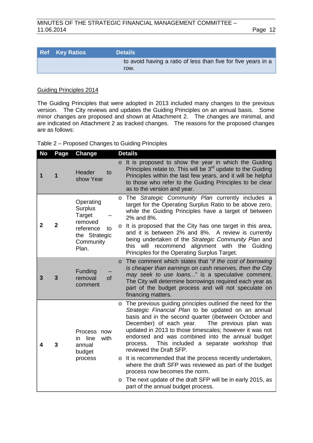| <b>Ref</b> Key Ratios | <b>Details</b>                                                        |
|-----------------------|-----------------------------------------------------------------------|
|                       | to avoid having a ratio of less than five for five years in a<br>row. |

## Guiding Principles 2014

The Guiding Principles that were adopted in 2013 included many changes to the previous version. The City reviews and updates the Guiding Principles on an annual basis. Some minor changes are proposed and shown at Attachment 2. The changes are minimal, and are indicated on Attachment 2 as tracked changes. The reasons for the proposed changes are as follows:

|  |  | Table 2 – Proposed Changes to Guiding Principles |  |  |
|--|--|--------------------------------------------------|--|--|
|--|--|--------------------------------------------------|--|--|

| <b>No</b> | Page           | <b>Change</b>                                                                                              | <b>Details</b>                                                                                                                                                                                                                                                                                                                                                                                                                                                                                                                                                                                                                                                                                                  |
|-----------|----------------|------------------------------------------------------------------------------------------------------------|-----------------------------------------------------------------------------------------------------------------------------------------------------------------------------------------------------------------------------------------------------------------------------------------------------------------------------------------------------------------------------------------------------------------------------------------------------------------------------------------------------------------------------------------------------------------------------------------------------------------------------------------------------------------------------------------------------------------|
| 1         | 1              | Header<br>to<br>show Year                                                                                  | o It is proposed to show the year in which the Guiding<br>Principles relate to. This will be $3rd$ update to the Guiding<br>Principles within the last few years, and it will be helpful<br>to those who refer to the Guiding Principles to be clear<br>as to the version and year.                                                                                                                                                                                                                                                                                                                                                                                                                             |
| 2         | $\overline{2}$ | Operating<br><b>Surplus</b><br>Target<br>removed<br>reference<br>to<br>the Strategic<br>Community<br>Plan. | The Strategic Community Plan currently includes a<br>$\circ$<br>target for the Operating Surplus Ratio to be above zero,<br>while the Guiding Principles have a target of between<br>2% and 8%.<br>It is proposed that the City has one target in this area,<br>$\circ$<br>and it is between 2% and 8%. A review is currently<br>being undertaken of the Strategic Community Plan and<br>will recommend alignment with the Guiding<br>this                                                                                                                                                                                                                                                                      |
| 3         | 3              | Funding<br>removal<br>of<br>comment                                                                        | Principles for the Operating Surplus Target.<br>The comment which states that "if the cost of borrowing<br>$\circ$<br>is cheaper than earnings on cash reserves, then the City<br>may seek to use loans" is a speculative comment.<br>The City will determine borrowings required each year as<br>part of the budget process and will not speculate on<br>financing matters.                                                                                                                                                                                                                                                                                                                                    |
| 4         | 3              | <b>Process</b><br>now<br>line<br>with<br>in<br>annual<br>budget<br>process                                 | The previous guiding principles outlined the need for the<br>$\circ$<br>Strategic Financial Plan to be updated on an annual<br>basis and in the second quarter (ibetween October and<br>December) of each year.<br>The previous plan was<br>updated in 2013 to those timescales; however it was not<br>endorsed and was combined into the annual budget<br>This included a separate workshop that<br>process.<br>reviewed the Draft SFP.<br>o It is recommended that the process recently undertaken,<br>where the draft SFP was reviewed as part of the budget<br>process now becomes the norm.<br>The next update of the draft SFP will be in early 2015, as<br>$\circ$<br>part of the annual budget process. |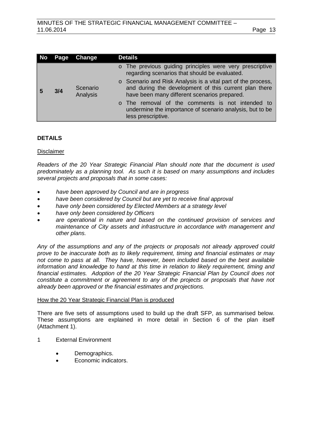| No | Page | Change               | <b>Details</b>                                                                                                                                                        |
|----|------|----------------------|-----------------------------------------------------------------------------------------------------------------------------------------------------------------------|
|    |      |                      | o The previous guiding principles were very prescriptive<br>regarding scenarios that should be evaluated.                                                             |
| -5 | 3/4  | Scenario<br>Analysis | o Scenario and Risk Analysis is a vital part of the process,<br>and during the development of this current plan there<br>have been many different scenarios prepared. |
|    |      |                      | o The removal of the comments is not intended to<br>undermine the importance of scenario analysis, but to be<br>less prescriptive.                                    |

# **DETAILS**

## Disclaimer

*Readers of the 20 Year Strategic Financial Plan should note that the document is used predominately as a planning tool. As such it is based on many assumptions and includes several projects and proposals that in some cases:* 

- *have been approved by Council and are in progress*
- *have been considered by Council but are yet to receive final approval*
- *have only been considered by Elected Members at a strategy level*
- *have only been considered by Officers*
- *are operational in nature and based on the continued provision of services and maintenance of City assets and infrastructure in accordance with management and other plans.*

*Any of the assumptions and any of the projects or proposals not already approved could prove to be inaccurate both as to likely requirement, timing and financial estimates or may not come to pass at all. They have, however, been included based on the best available information and knowledge to hand at this time in relation to likely requirement, timing and financial estimates. Adoption of the 20 Year Strategic Financial Plan by Council does not constitute a commitment or agreement to any of the projects or proposals that have not already been approved or the financial estimates and projections.*

#### How the 20 Year Strategic Financial Plan is produced

There are five sets of assumptions used to build up the draft SFP, as summarised below. These assumptions are explained in more detail in Section 6 of the plan itself (Attachment 1).

- 1 External Environment
	- Demographics.
	- Economic indicators.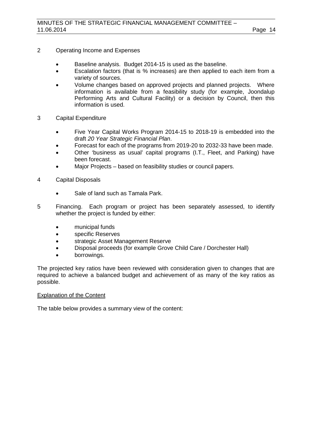- 2 Operating Income and Expenses
	- Baseline analysis. Budget 2014-15 is used as the baseline.
	- Escalation factors (that is % increases) are then applied to each item from a variety of sources.
	- Volume changes based on approved projects and planned projects. Where information is available from a feasibility study (for example, Joondalup Performing Arts and Cultural Facility) or a decision by Council, then this information is used.
- 3 Capital Expenditure
	- Five Year Capital Works Program 2014-15 to 2018-19 is embedded into the draft *20 Year Strategic Financial Plan*.
	- Forecast for each of the programs from 2019-20 to 2032-33 have been made.
	- Other 'business as usual' capital programs (I.T., Fleet, and Parking) have been forecast.
	- Major Projects based on feasibility studies or council papers.
- 4 Capital Disposals
	- Sale of land such as Tamala Park.
- 5 Financing. Each program or project has been separately assessed, to identify whether the project is funded by either:
	- municipal funds
	- specific Reserves
	- strategic Asset Management Reserve
	- Disposal proceeds (for example Grove Child Care / Dorchester Hall)
	- borrowings.

The projected key ratios have been reviewed with consideration given to changes that are required to achieve a balanced budget and achievement of as many of the key ratios as possible.

# Explanation of the Content

The table below provides a summary view of the content: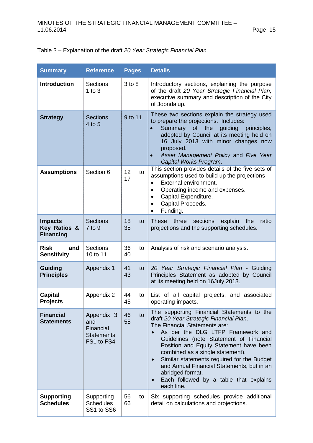# Table 3 – Explanation of the draft *20 Year Strategic Financial Plan*

| <b>Summary</b>                                     | <b>Reference</b>                                                  | <b>Pages</b>   | <b>Details</b>                                                                                                                                                                                                                                                                                                                                                                                                                                                             |
|----------------------------------------------------|-------------------------------------------------------------------|----------------|----------------------------------------------------------------------------------------------------------------------------------------------------------------------------------------------------------------------------------------------------------------------------------------------------------------------------------------------------------------------------------------------------------------------------------------------------------------------------|
| <b>Introduction</b>                                | <b>Sections</b><br>$1$ to $3$                                     | $3$ to $8$     | Introductory sections, explaining the purpose<br>of the draft 20 Year Strategic Financial Plan,<br>executive summary and description of the City<br>of Joondalup.                                                                                                                                                                                                                                                                                                          |
| <b>Strategy</b>                                    | <b>Sections</b><br>4 to 5                                         | 9 to 11        | These two sections explain the strategy used<br>to prepare the projections. Includes:<br>Summary<br>of the<br>guiding<br>principles,<br>$\bullet$<br>adopted by Council at its meeting held on<br>16 July 2013 with minor changes now<br>proposed.<br>Asset Management Policy and Five Year<br>Capital Works Program.                                                                                                                                                      |
| <b>Assumptions</b>                                 | Section 6                                                         | 12<br>to<br>17 | This section provides details of the five sets of<br>assumptions used to build up the projections<br>External environment.<br>$\bullet$<br>Operating income and expenses.<br>$\bullet$<br>Capital Expenditure.<br>$\bullet$<br>Capital Proceeds.<br>$\bullet$<br>Funding.<br>$\bullet$                                                                                                                                                                                     |
| <b>Impacts</b><br>Key Ratios &<br><b>Financing</b> | <b>Sections</b><br>7 to 9                                         | 18<br>to<br>35 | sections explain the<br>These three<br>ratio<br>projections and the supporting schedules.                                                                                                                                                                                                                                                                                                                                                                                  |
| <b>Risk</b><br>and<br><b>Sensitivity</b>           | <b>Sections</b><br>10 to 11                                       | 36<br>to<br>40 | Analysis of risk and scenario analysis.                                                                                                                                                                                                                                                                                                                                                                                                                                    |
| <b>Guiding</b><br><b>Principles</b>                | Appendix 1                                                        | 41<br>to<br>43 | 20 Year Strategic Financial Plan - Guiding<br>Principles Statement as adopted by Council<br>at its meeting held on 16July 2013.                                                                                                                                                                                                                                                                                                                                            |
| <b>Capital</b><br><b>Projects</b>                  | Appendix 2                                                        | 44<br>to<br>45 | List of all capital projects, and associated<br>operating impacts.                                                                                                                                                                                                                                                                                                                                                                                                         |
| <b>Financial</b><br><b>Statements</b>              | Appendix 3<br>and<br>Financial<br><b>Statements</b><br>FS1 to FS4 | 46<br>to<br>55 | The supporting Financial Statements to the<br>draft 20 Year Strategic Financial Plan.<br>The Financial Statements are:<br>As per the DLG LTFP Framework and<br>Guidelines (note Statement of Financial<br>Position and Equity Statement have been<br>combined as a single statement).<br>Similar statements required for the Budget<br>$\bullet$<br>and Annual Financial Statements, but in an<br>abridged format.<br>Each followed by a table that explains<br>each line. |
| <b>Supporting</b><br><b>Schedules</b>              | Supporting<br><b>Schedules</b><br>SS1 to SS6                      | 56<br>to<br>66 | Six supporting schedules provide additional<br>detail on calculations and projections.                                                                                                                                                                                                                                                                                                                                                                                     |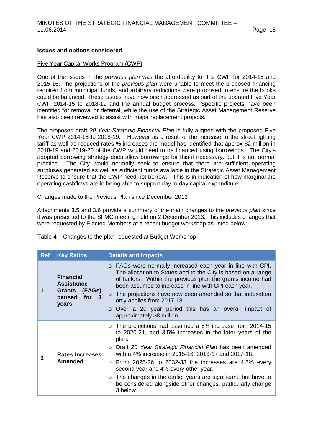## **Issues and options considered**

#### Five Year Capital Works Program (CWP)

One of the issues in the *previous plan* was the affordability for the CWP for 2014-15 and 2015-16. The projections of the *previous plan* were unable to meet the proposed financing required from municipal funds, and arbitrary reductions were proposed to ensure the books could be balanced. These issues have now been addressed as part of the updated Five Year CWP 2014-15 to 2018-19 and the annual budget process. Specific projects have been identified for removal or deferral, while the use of the Strategic Asset Management Reserve has also been reviewed to assist with major replacement projects.

The proposed draft *20 Year Strategic Financial Plan* is fully aligned with the proposed Five Year CWP 2014-15 to 2018-19. However as a result of the increase to the street lighting tariff as well as reduced rates % increases the model has identified that approx \$2 million in 2018-19 and 2019-20 of the CWP would need to be financed using borrowings. The City's adopted borrowing strategy does allow borrowings for this if necessary, but it is not normal practice. The City would normally seek to ensure that there are sufficient operating The City would normally seek to ensure that there are sufficient operating surpluses generated as well as sufficient funds available in the Strategic Asset Management Reserve to ensure that the CWP need not borrow. This is in indication of how marginal the operating cashflows are in being able to support day to day capital expenditure.

#### Changes made to the Previous Plan since December 2013

Attachments 3.5 and 3.6 provide a summary of the main changes to the *previous plan* since it was presented to the SFMC meeting held on 2 December 2013. This includes changes that were requested by Elected Members at a recent budget workshop as listed below:

Table 4 – Changes to the plan requested at Budget Workshop

| <b>Ref</b> | <b>Key Ratios</b>                                                                     | <b>Details and Impacts</b>                                                                                                                                                                                                                                                                                                                                                                                                                                                                             |
|------------|---------------------------------------------------------------------------------------|--------------------------------------------------------------------------------------------------------------------------------------------------------------------------------------------------------------------------------------------------------------------------------------------------------------------------------------------------------------------------------------------------------------------------------------------------------------------------------------------------------|
|            | <b>Financial</b><br><b>Assistance</b><br>Grants<br>(FAGs)<br>for 3<br>paused<br>years | o FAGs were normally increased each year in line with CPI.<br>The allocation to States and to the City is based on a range<br>of factors. Within the previous plan the grants income had<br>been assumed to increase in line with CPI each year.<br>o The projections have now been amended so that indexation<br>only applies from 2017-18.<br>o Over a 20 year period this has an overall impact of<br>approximately \$8 million.                                                                    |
| 2          | Rates Increases<br><b>Amended</b>                                                     | o The projections had assumed a 5% increase from 2014-15<br>to 2020-21, and 3.5% increases in the later years of the<br>plan.<br>o Draft 20 Year Strategic Financial Plan has been amended<br>with a 4% increase in 2015-16, 2016-17 and 2017-18.<br>$\circ$ From 2025-26 to 2032-33 the increases are 4.5% every<br>second year and 4% every other year.<br>o The changes in the earlier years are significant, but have to<br>be considered alongside other changes, particularly change<br>3 below. |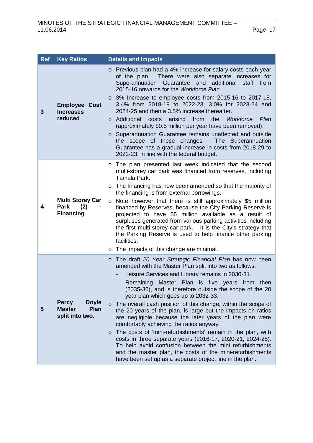| <b>Ref</b> | <b>Key Ratios</b>                                                               | <b>Details and Impacts</b>                                                                                                                                                                                                                                                                                                                                                                                                                                                                                                                                                                                                                                                                                                                                                                                                                                                                                    |
|------------|---------------------------------------------------------------------------------|---------------------------------------------------------------------------------------------------------------------------------------------------------------------------------------------------------------------------------------------------------------------------------------------------------------------------------------------------------------------------------------------------------------------------------------------------------------------------------------------------------------------------------------------------------------------------------------------------------------------------------------------------------------------------------------------------------------------------------------------------------------------------------------------------------------------------------------------------------------------------------------------------------------|
| 3          | <b>Employee Cost</b><br><b>Increases</b><br>reduced                             | o Previous plan had a 4% increase for salary costs each year<br>of the plan. There were also separate increases for<br>Superannuation Guarantee and additional<br>staff from<br>2015-16 onwards for the Workforce Plan.<br>o 3% Increase to employee costs from 2015-16 to 2017-18,<br>3.4% from 2018-19 to 2022-23, 3.0% for 2023-24 and<br>2024-25 and then a 3.5% increase thereafter.<br>o Additional<br>arising<br>from<br>the<br>Workforce<br>Plan<br>costs<br>(approximately \$0.5 million per year have been removed).<br>Superannuation Guarantee remains unaffected and outside<br>$\circ$<br>the scope of these changes.<br>The Superannuation<br>Guarantee has a gradual increase in costs from 2018-29 to<br>2022-23, in line with the federal budget.                                                                                                                                           |
| 4          | <b>Multi Storey Car</b><br>Park<br>(2)<br><b>Financing</b>                      | The plan presented last week indicated that the second<br>$\circ$<br>multi-storey car park was financed from reserves, including<br>Tamala Park.<br>The financing has now been amended so that the majority of<br>$\circ$<br>the financing is from external borrowings.<br>Note however that there is still approximately \$5 million<br>$\circ$<br>financed by Reserves, because the City Parking Reserve is<br>projected to have \$5 million available as a result of<br>surpluses generated from various parking activities including<br>the first multi-storey car park. It is the City's strategy that<br>the Parking Reserve is used to help finance other parking<br>facilities.<br>The impacts of this change are minimal.<br>O                                                                                                                                                                       |
| 5          | <b>Percy</b><br><b>Doyle</b><br><b>Master</b><br><b>Plan</b><br>split into two. | The draft 20 Year Strategic Financial Plan has now been<br>$\circ$<br>amended with the Master Plan split into two as follows:<br>Leisure Services and Library remains in 2030-31.<br>Master Plan is five years from then<br>Remaining<br>(2035-36), and is therefore outside the scope of the 20<br>year plan which goes up to 2032-33.<br>o The overall cash position of this change, within the scope of<br>the 20 years of the plan, is large but the impacts on ratios<br>are negligible because the later years of the plan were<br>comfortably achieving the ratios anyway.<br>The costs of 'mini-refurbishments' remain in the plan, with<br>$\circ$<br>costs in three separate years (2016-17, 2020-21, 2024-25).<br>To help avoid confusion between the mini refurbishments<br>and the master plan, the costs of the mini-refurbishments<br>have been set up as a separate project line in the plan. |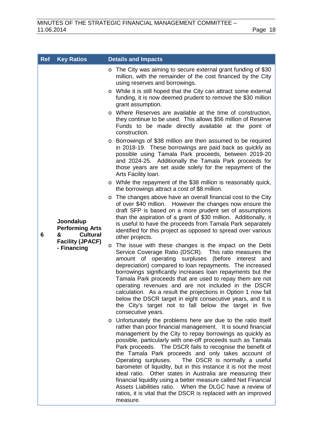| <b>Ref</b> | <b>Key Ratios</b>                                                                                     | <b>Details and Impacts</b>                                                                                                                                                                                                                                                                                                                                                                                                                                                                                                                                                                                                                                                                                                                                                                                                                                                                                                                                                                                                                                                                                                                                                                                                                                                                                                                                                                                                                                                                                                                                                                                                                                                                                                                                                                                                                                                                                                                                                                                                                                    |
|------------|-------------------------------------------------------------------------------------------------------|---------------------------------------------------------------------------------------------------------------------------------------------------------------------------------------------------------------------------------------------------------------------------------------------------------------------------------------------------------------------------------------------------------------------------------------------------------------------------------------------------------------------------------------------------------------------------------------------------------------------------------------------------------------------------------------------------------------------------------------------------------------------------------------------------------------------------------------------------------------------------------------------------------------------------------------------------------------------------------------------------------------------------------------------------------------------------------------------------------------------------------------------------------------------------------------------------------------------------------------------------------------------------------------------------------------------------------------------------------------------------------------------------------------------------------------------------------------------------------------------------------------------------------------------------------------------------------------------------------------------------------------------------------------------------------------------------------------------------------------------------------------------------------------------------------------------------------------------------------------------------------------------------------------------------------------------------------------------------------------------------------------------------------------------------------------|
|            |                                                                                                       | The City was aiming to secure external grant funding of \$30<br>O<br>million, with the remainder of the cost financed by the City<br>using reserves and borrowings.<br>While it is still hoped that the City can attract some external<br>$\circ$<br>funding, it is now deemed prudent to remove the \$30 million<br>grant assumption.<br>Where Reserves are available at the time of construction,<br>they continue to be used. This allows \$56 million of Reserve<br>Funds to be made directly available at the point of<br>construction.<br>Borrowings of \$38 million are then assumed to be required<br>$\circ$<br>in 2018-19. These borrowings are paid back as quickly as<br>possible using Tamala Park proceeds, between 2019-20<br>and 2024-25. Additionally the Tamala Park proceeds for                                                                                                                                                                                                                                                                                                                                                                                                                                                                                                                                                                                                                                                                                                                                                                                                                                                                                                                                                                                                                                                                                                                                                                                                                                                           |
| 6          | Joondalup<br><b>Performing Arts</b><br><b>Cultural</b><br>&<br><b>Facility (JPACF)</b><br>- Financing | those years are set aside solely for the repayment of the<br>Arts Facility Ioan.<br>o While the repayment of the \$38 million is reasonably quick,<br>the borrowings attract a cost of \$8 million.<br>The changes above have an overall financial cost to the City<br>O<br>of over \$40 million. However the changes now ensure the<br>draft SFP is based on a more prudent set of assumptions<br>than the aspiration of a grant of \$30 million. Additionally, it<br>is useful to have the proceeds from Tamala Park separately<br>identified for this project as opposed to spread over various<br>other projects.<br>The issue with these changes is the impact on the Debt<br>O<br>Service Coverage Ratio (DSCR). This ratio measures the<br>amount of operating surpluses (before interest<br>and<br>depreciation) compared to loan repayments. The increased<br>borrowings significantly increases loan repayments but the<br>Tamala Park proceeds that are used to repay them are not<br>operating revenues and are not included in the DSCR<br>calculation. As a result the projections in Option 1 now fall<br>below the DSCR target in eight consecutive years, and it is<br>the City's target not to fall below the target in five<br>consecutive years.<br>Unfortunately the problems here are due to the ratio itself<br>O<br>rather than poor financial management. It is sound financial<br>management by the City to repay borrowings as quickly as<br>possible, particularly with one-off proceeds such as Tamala<br>Park proceeds. The DSCR fails to recognise the benefit of<br>the Tamala Park proceeds and only takes account of<br>Operating surpluses.<br>The DSCR is normally a useful<br>barometer of liquidity, but in this instance it is not the most<br>ideal ratio. Other states in Australia are measuring their<br>financial liquidity using a better measure called Net Financial<br>Assets Liabilities ratio. When the DLGC have a review of<br>ratios, it is vital that the DSCR is replaced with an improved<br>measure. |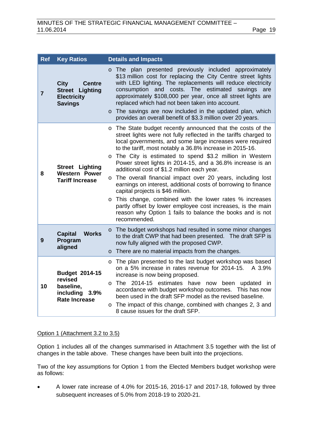| <b>Ref</b>     | <b>Key Ratios</b>                                                                              | <b>Details and Impacts</b>                                                                                                                                                                                                                                                                                                                                                                                                                                                                                                                                                                                                                                                                                                                                                                                                                            |
|----------------|------------------------------------------------------------------------------------------------|-------------------------------------------------------------------------------------------------------------------------------------------------------------------------------------------------------------------------------------------------------------------------------------------------------------------------------------------------------------------------------------------------------------------------------------------------------------------------------------------------------------------------------------------------------------------------------------------------------------------------------------------------------------------------------------------------------------------------------------------------------------------------------------------------------------------------------------------------------|
| $\overline{7}$ | <b>City</b><br><b>Centre</b><br><b>Street Lighting</b><br><b>Electricity</b><br><b>Savings</b> | o The plan presented previously included approximately<br>\$13 million cost for replacing the City Centre street lights<br>with LED lighting. The replacements will reduce electricity<br>costs. The estimated<br>consumption and<br>savings<br>are<br>approximately \$108,000 per year, once all street lights are<br>replaced which had not been taken into account.<br>o The savings are now included in the updated plan, which<br>provides an overall benefit of \$3.3 million over 20 years.                                                                                                                                                                                                                                                                                                                                                    |
| 8              | <b>Street Lighting</b><br><b>Western Power</b><br><b>Tariff Increase</b>                       | The State budget recently announced that the costs of the<br>$\circ$<br>street lights were not fully reflected in the tariffs charged to<br>local governments, and some large increases were required<br>to the tariff, most notably a 36.8% increase in 2015-16.<br>The City is estimated to spend \$3.2 million in Western<br>$\circ$<br>Power street lights in 2014-15, and a 36.8% increase is an<br>additional cost of \$1.2 million each year.<br>The overall financial impact over 20 years, including lost<br>$\circ$<br>earnings on interest, additional costs of borrowing to finance<br>capital projects is \$46 million.<br>This change, combined with the lower rates % increases<br>$\circ$<br>partly offset by lower employee cost increases, is the main<br>reason why Option 1 fails to balance the books and is not<br>recommended. |
| 9              | <b>Works</b><br><b>Capital</b><br>Program<br>aligned                                           | o The budget workshops had resulted in some minor changes<br>to the draft CWP that had been presented. The draft SFP is<br>now fully aligned with the proposed CWP.<br>There are no material impacts from the changes.<br>$\circ$                                                                                                                                                                                                                                                                                                                                                                                                                                                                                                                                                                                                                     |
| 10             | Budget 2014-15<br>revised<br>baseline,<br>including 3.9%<br><b>Rate Increase</b>               | The plan presented to the last budget workshop was based<br>$\circ$<br>on a 5% increase in rates revenue for 2014-15.<br>A 3.9%<br>increase is now being proposed.<br>The 2014-15 estimates have now been<br>updated in<br>$\circ$<br>accordance with budget workshop outcomes. This has now<br>been used in the draft SFP model as the revised baseline.<br>The impact of this change, combined with changes 2, 3 and<br>$\circ$<br>8 cause issues for the draft SFP.                                                                                                                                                                                                                                                                                                                                                                                |

## Option 1 (Attachment 3.2 to 3.5)

Option 1 includes all of the changes summarised in Attachment 3.5 together with the list of changes in the table above. These changes have been built into the projections.

Two of the key assumptions for Option 1 from the Elected Members budget workshop were as follows:

• A lower rate increase of 4.0% for 2015-16, 2016-17 and 2017-18, followed by three subsequent increases of 5.0% from 2018-19 to 2020-21.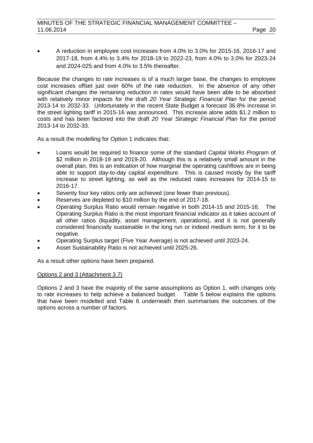• A reduction in employee cost increases from 4.0% to 3.0% for 2015-16, 2016-17 and 2017-18, from 4.4% to 3.4% for 2018-19 to 2022-23, from 4.0% to 3.0% for 2023-24 and 2024-025 and from 4.0% to 3.5% thereafter.

Because the changes to rate increases is of a much larger base, the changes to employee cost increases offset just over 60% of the rate reduction. In the absence of any other significant changes the remaining reduction in rates would have been able to be absorbed with relatively minor impacts for the draft *20 Year Strategic Financial Plan* for the period 2013-14 to 2032-33. Unfortunately in the recent State Budget a forecast 36.8% increase in the street lighting tariff in 2015-16 was announced. This increase alone adds \$1.2 million to costs and has been factored into the draft *20 Year Strategic Financial Plan* for the period 2013-14 to 2032-33.

As a result the modelling for Option 1 indicates that:

- Loans would be required to finance some of the standard *Capital Works Program* of \$2 million in 2018-19 and 2019-20. Although this is a relatively small amount in the overall plan, this is an indication of how marginal the operating cashflows are in being able to support day-to-day capital expenditure. This is caused mostly by the tariff increase to street lighting, as well as the reduced rates increases for 2014-15 to 2016-17.
- Seventy four key ratios only are achieved (one fewer than previous).
- Reserves are depleted to \$10 million by the end of 2017-18.
- Operating Surplus Ratio would remain negative in both 2014-15 and 2015-16. The Operating Surplus Ratio is the most important financial indicator as it takes account of all other ratios (liquidity, asset management, operations), and it is not generally considered financially sustainable in the long run or indeed medium term, for it to be negative.
- Operating Surplus target (Five Year Average) is not achieved until 2023-24.
- Asset Sustainability Ratio is not achieved until 2025-26.

As a result other options have been prepared.

# Options 2 and 3 (Attachment 3.7)

Options 2 and 3 have the majority of the same assumptions as Option 1, with changes only to rate increases to help achieve a balanced budget. Table 5 below explains the options that have been modelled and Table 6 underneath then summarises the outcomes of the options across a number of factors.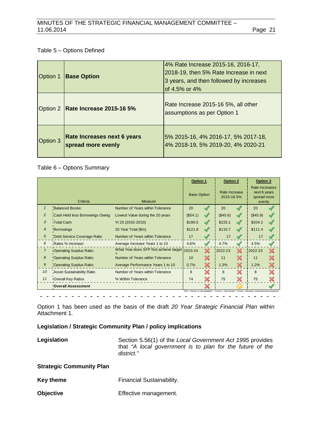# Table 5 – Options Defined

| Option 1 | <b>Base Option</b>                                | 4% Rate Increase 2015-16, 2016-17,<br>2018-19, then 5% Rate Increase in next<br>3 years, and then followed by increases<br>of 4.5% or 4% |
|----------|---------------------------------------------------|------------------------------------------------------------------------------------------------------------------------------------------|
|          | Option 2   Rate Increase 2015-16 5%               | Rate Increase 2015-16 5%, all other<br>assumptions as per Option 1                                                                       |
| Option 3 | Rate Increases next 6 years<br>spread more evenly | 5% 2015-16, 4% 2016-17, 5% 2017-18,<br>4% 2018-19, 5% 2019-20, 4% 2020-21                                                                |

# Table 6 – Options Summary

|                |                                   |                                                            | <b>Option 1</b>    |                           | <b>Option 2</b>             |               | Option 3                                                |              |
|----------------|-----------------------------------|------------------------------------------------------------|--------------------|---------------------------|-----------------------------|---------------|---------------------------------------------------------|--------------|
|                | Criteria                          | Measure                                                    | <b>Base Option</b> |                           | Rate Increase<br>2015-16 5% |               | Rate Increases<br>next 6 years<br>spread more<br>evenly |              |
| $\mathbf{1}$   | <b>Balanced Books:</b>            | Number of Years within Tolerance                           | 20                 | $\mathscr{A}$             | 20                          |               | 20                                                      |              |
| $\overline{2}$ | Cash Held less Borrowings Owing:  | Lowest Value during the 20 years                           | (\$54.1)           | $\sqrt{}$                 | (\$45.6)                    | $\mathscr{A}$ | (\$45.9)                                                |              |
| 3              | <b>Total Cash</b>                 | Yr 20 (2032-2033)                                          | \$190.5            | $\mathscr{A}$             | \$225.1                     | $\mathscr{A}$ | \$204.2                                                 |              |
| $\overline{4}$ | Borrowings                        | \$110.7<br>\$121.8<br>$\mathscr{A}$<br>20 Year Total (\$m) |                    | $\mathscr{M}$             | \$111.4                     |               |                                                         |              |
| $\sqrt{5}$     | Debt Service Coverage Ratio       | Number of Years within Tolerance                           | 17                 |                           | 17                          | $\mathcal{A}$ | 17                                                      |              |
| 6              | Rates % Increase:                 | Average Increase Years 1 to 10                             | 4.6%               |                           | 4.7%                        | $\mathscr{S}$ | 4.5%                                                    |              |
| $\overline{7}$ | <b>Operating Surplus Ratio:</b>   | What Year does SFP first achieve target 2023-24            |                    | $\boldsymbol{\mathsf{X}}$ | 2022-23                     | $\chi$        | 2022-23                                                 | $\times$     |
| 8              | <b>Operating Surplus Ratio:</b>   | Number of Years within Tolerance                           | 10                 | X                         | 11                          | X             | 11                                                      |              |
| $\mathfrak{g}$ | <b>Operating Surplus Ratio:</b>   | Average Performance Years 1 to 10                          | 0.7%               | X                         | 1.3%                        | X             | 1.2%                                                    |              |
| 10             | <b>Asset Sustainability Ratio</b> | Number of Years within Tolerance                           | 8                  | X                         | 8                           | X             | 8                                                       | $\mathbb{X}$ |
| 11             | Overall Key Ratios                | % Within Tolerance                                         | 74                 |                           | 75                          | X             | 75                                                      |              |
|                | <b>Overall Assessment</b>         |                                                            |                    |                           |                             |               |                                                         |              |

Option 1 has been used as the basis of the draft *20 Year Strategic Financial Plan* within Attachment 1.

# **Legislation / Strategic Community Plan / policy implications**

Legislation **Section 5.56(1)** of the *Local Government Act 1995* provides that *"A local government is to plan for the future of the district."*

# **Strategic Community Plan**

Key theme **Financial Sustainability.** 

**Objective Effective management.**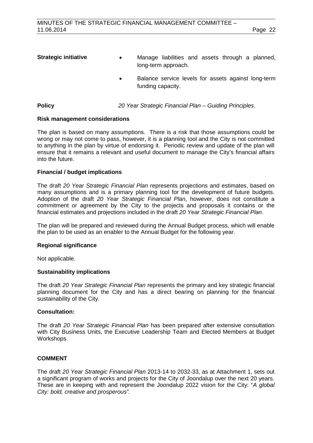| <b>Strategic initiative</b> | $\bullet$ | Manage liabilities and assets through a planned,<br>long-term approach.  |
|-----------------------------|-----------|--------------------------------------------------------------------------|
|                             |           | Balance service levels for assets against long-term<br>funding capacity. |

# **Policy** *20 Year Strategic Financial Plan – Guiding Principles*.

## **Risk management considerations**

The plan is based on many assumptions. There is a risk that those assumptions could be wrong or may not come to pass, however, it is a planning tool and the City is not committed to anything in the plan by virtue of endorsing it. Periodic review and update of the plan will ensure that it remains a relevant and useful document to manage the City's financial affairs into the future.

## **Financial / budget implications**

The draft *20 Year Strategic Financial Plan* represents projections and estimates, based on many assumptions and is a primary planning tool for the development of future budgets. Adoption of the draft *20 Year Strategic Financial Plan*, however, does not constitute a commitment or agreement by the City to the projects and proposals it contains or the financial estimates and projections included in the draft *20 Year Strategic Financial Plan*.

The plan will be prepared and reviewed during the Annual Budget process, which will enable the plan to be used as an enabler to the Annual Budget for the following year.

#### **Regional significance**

Not applicable.

#### **Sustainability implications**

The draft *20 Year Strategic Financial Plan* represents the primary and key strategic financial planning document for the City and has a direct bearing on planning for the financial sustainability of the City.

#### **Consultation:**

The draft *20 Year Strategic Financial Plan* has been prepared after extensive consultation with City Business Units, the Executive Leadership Team and Elected Members at Budget Workshops.

# **COMMENT**

The draft *20 Year Strategic Financial Plan* 2013-14 to 2032-33, as at Attachment 1, sets out a significant program of works and projects for the City of Joondalup over the next 20 years. These are in keeping with and represent the Joondalup 2022 vision for the City: "*A global City: bold, creative and prosperous".*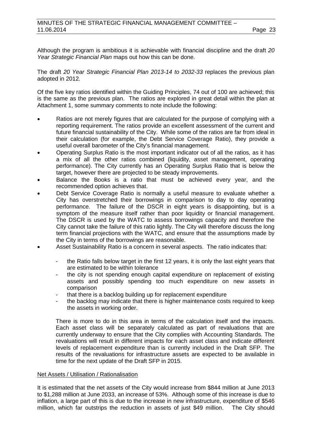Although the program is ambitious it is achievable with financial discipline and the draft *20 Year Strategic Financial Plan* maps out how this can be done.

The draft *20 Year Strategic Financial Plan 2013-14 to 2032-33* replaces the previous plan adopted in 2012.

Of the five key ratios identified within the Guiding Principles, 74 out of 100 are achieved; this is the same as the previous plan. The ratios are explored in great detail within the plan at Attachment 1, some summary comments to note include the following:

- Ratios are not merely figures that are calculated for the purpose of complying with a reporting requirement. The ratios provide an excellent assessment of the current and future financial sustainability of the City. While some of the ratios are far from ideal in their calculation (for example, the Debt Service Coverage Ratio), they provide a useful overall barometer of the City's financial management.
- Operating Surplus Ratio is the most important indicator out of all the ratios, as it has a mix of all the other ratios combined (liquidity, asset management, operating performance). The City currently has an Operating Surplus Ratio that is below the target, however there are projected to be steady improvements.
- Balance the Books is a ratio that must be achieved every year, and the recommended option achieves that.
- Debt Service Coverage Ratio is normally a useful measure to evaluate whether a City has overstretched their borrowings in comparison to day to day operating performance. The failure of the DSCR in eight years is disappointing, but is a symptom of the measure itself rather than poor liquidity or financial management. The DSCR is used by the WATC to assess borrowings capacity and therefore the City cannot take the failure of this ratio lightly. The City will therefore discuss the long term financial projections with the WATC, and ensure that the assumptions made by the City in terms of the borrowings are reasonable.
- Asset Sustainability Ratio is a concern in several aspects. The ratio indicates that:
	- the Ratio falls below target in the first 12 years, it is only the last eight years that are estimated to be within tolerance
	- the city is not spending enough capital expenditure on replacement of existing assets and possibly spending too much expenditure on new assets in comparison
	- that there is a backlog building up for replacement expenditure
	- the backlog may indicate that there is higher maintenance costs required to keep the assets in working order.

There is more to do in this area in terms of the calculation itself and the impacts. Each asset class will be separately calculated as part of revaluations that are currently underway to ensure that the City complies with Accounting Standards. The revaluations will result in different impacts for each asset class and indicate different levels of replacement expenditure than is currently included in the Draft SFP. The results of the revaluations for infrastructure assets are expected to be available in time for the next update of the Draft SFP in 2015.

#### Net Assets / Utilisation / Rationalisation

It is estimated that the net assets of the City would increase from \$844 million at June 2013 to \$1,288 million at June 2033, an increase of 53%. Although some of this increase is due to inflation, a large part of this is due to the increase in new infrastructure, expenditure of \$546 million, which far outstrips the reduction in assets of just \$49 million. The City should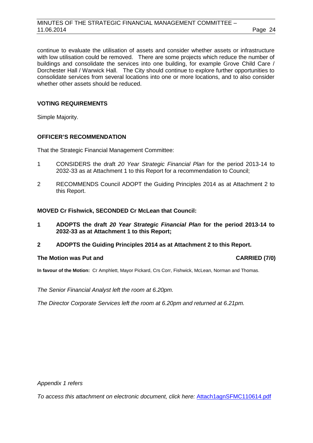continue to evaluate the utilisation of assets and consider whether assets or infrastructure with low utilisation could be removed. There are some projects which reduce the number of buildings and consolidate the services into one building, for example Grove Child Care / Dorchester Hall / Warwick Hall. The City should continue to explore further opportunities to consolidate services from several locations into one or more locations, and to also consider whether other assets should be reduced.

## **VOTING REQUIREMENTS**

Simple Majority.

# **OFFICER'S RECOMMENDATION**

That the Strategic Financial Management Committee:

- 1 CONSIDERS the draft *20 Year Strategic Financial Plan* for the period 2013-14 to 2032-33 as at Attachment 1 to this Report for a recommendation to Council;
- 2 RECOMMENDS Council ADOPT the Guiding Principles 2014 as at Attachment 2 to this Report.

## **MOVED Cr Fishwick, SECONDED Cr McLean that Council:**

- **1 ADOPTS the draft** *20 Year Strategic Financial Plan* **for the period 2013-14 to 2032-33 as at Attachment 1 to this Report;**
- **2 ADOPTS the Guiding Principles 2014 as at Attachment 2 to this Report.**

#### **The Motion was Put and CARRIED (7/0)**

**In favour of the Motion:** Cr Amphlett, Mayor Pickard, Crs Corr, Fishwick, McLean, Norman and Thomas.

*The Senior Financial Analyst left the room at 6.20pm.*

*The Director Corporate Services left the room at 6.20pm and returned at 6.21pm.*

*Appendix 1 refers*

*[To access this attachment on electronic document, click here:](http://www.joondalup.wa.gov.au/files/committees/SFMC/2014/Attach1agnSFMC110614.pdf)* Attach1agnSFMC110614.pdf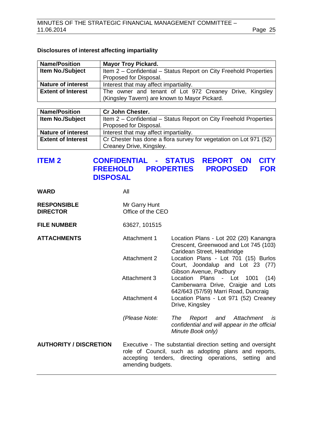# **Disclosures of interest affecting impartiality**

| <b>Name/Position</b>      | <b>Mayor Troy Pickard.</b>                                                                               |  |  |  |  |
|---------------------------|----------------------------------------------------------------------------------------------------------|--|--|--|--|
| <b>Item No./Subject</b>   | Item 2 - Confidential - Status Report on City Freehold Properties                                        |  |  |  |  |
|                           | Proposed for Disposal.                                                                                   |  |  |  |  |
| <b>Nature of interest</b> | Interest that may affect impartiality.                                                                   |  |  |  |  |
| <b>Extent of Interest</b> | The owner and tenant of Lot 972 Creaney Drive, Kingsley<br>(Kingsley Tavern) are known to Mayor Pickard. |  |  |  |  |
|                           |                                                                                                          |  |  |  |  |

| <b>Name/Position</b>      | <b>Cr John Chester.</b>                                           |
|---------------------------|-------------------------------------------------------------------|
| <b>Item No./Subject</b>   | Item 2 - Confidential - Status Report on City Freehold Properties |
|                           | Proposed for Disposal.                                            |
| <b>Nature of interest</b> | Interest that may affect impartiality.                            |
| <b>Extent of Interest</b> | Cr Chester has done a flora survey for vegetation on Lot 971 (52) |
|                           | Creaney Drive, Kingsley.                                          |

# <span id="page-24-0"></span>**ITEM 2 CONFIDENTIAL - STATUS REPORT ON CITY FROPERTIES DISPOSAL**

| <b>WARD</b>                           | All                                                                                                                                                                                                 |                                                                                                                   |
|---------------------------------------|-----------------------------------------------------------------------------------------------------------------------------------------------------------------------------------------------------|-------------------------------------------------------------------------------------------------------------------|
| <b>RESPONSIBLE</b><br><b>DIRECTOR</b> | Mr Garry Hunt<br>Office of the CEO                                                                                                                                                                  |                                                                                                                   |
| <b>FILE NUMBER</b>                    | 63627, 101515                                                                                                                                                                                       |                                                                                                                   |
| <b>ATTACHMENTS</b>                    | Attachment 1                                                                                                                                                                                        | Location Plans - Lot 202 (20) Kanangra<br>Crescent, Greenwood and Lot 745 (103)<br>Caridean Street, Heathridge    |
|                                       | <b>Attachment 2</b>                                                                                                                                                                                 | Location Plans - Lot 701 (15) Burlos<br>Court, Joondalup and Lot 23 (77)<br>Gibson Avenue, Padbury                |
|                                       | Attachment 3                                                                                                                                                                                        | Location Plans - Lot 1001<br>(14)<br>Camberwarra Drive, Craigie and Lots<br>642/643 (57/59) Marri Road, Duncraig  |
|                                       | Attachment 4                                                                                                                                                                                        | Location Plans - Lot 971 (52) Creaney<br>Drive, Kingsley                                                          |
|                                       | (Please Note:                                                                                                                                                                                       | and Attachment<br>The<br>Report<br><i>is</i><br>confidential and will appear in the official<br>Minute Book only) |
| <b>AUTHORITY / DISCRETION</b>         | Executive - The substantial direction setting and oversight<br>role of Council, such as adopting plans and reports,<br>accepting tenders, directing operations, setting<br>and<br>amending budgets. |                                                                                                                   |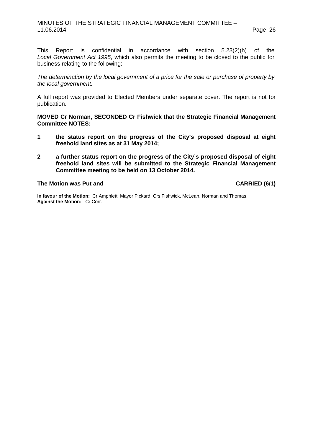This Report is confidential in accordance with section 5.23(2)(h) of the *Local Government Act 1995*, which also permits the meeting to be closed to the public for business relating to the following:

*The determination by the local government of a price for the sale or purchase of property by the local government.*

A full report was provided to Elected Members under separate cover. The report is not for publication.

**MOVED Cr Norman, SECONDED Cr Fishwick that the Strategic Financial Management Committee NOTES:**

- **1 the status report on the progress of the City's proposed disposal at eight freehold land sites as at 31 May 2014;**
- **2 a further status report on the progress of the City's proposed disposal of eight freehold land sites will be submitted to the Strategic Financial Management Committee meeting to be held on 13 October 2014.**

**The Motion was Put and CARRIED (6/1)**

**In favour of the Motion:** Cr Amphlett, Mayor Pickard, Crs Fishwick, McLean, Norman and Thomas. **Against the Motion:** Cr Corr.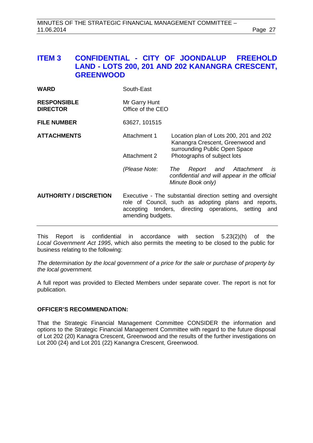# <span id="page-26-0"></span>**ITEM 3 CONFIDENTIAL - CITY OF JOONDALUP FREEHOLD LAND - LOTS 200, 201 AND 202 KANANGRA CRESCENT, GREENWOOD**

| <b>RESPONSIBLE</b> | Mr Garry Hunt     |
|--------------------|-------------------|
| <b>DIRECTOR</b>    | Office of the CEO |

**FILE NUMBER** 63627, 101515

- **ATTACHMENTS** Attachment 1 Location plan of Lots 200, 201 and 202 Kanangra Crescent, Greenwood and surrounding Public Open Space Attachment 2 Photographs of subject lots
	- *(Please Note: The Report and Attachment is confidential and will appear in the official Minute Book only)*
- **AUTHORITY / DISCRETION** Executive The substantial direction setting and oversight role of Council, such as adopting plans and reports, accepting tenders, directing operations, setting and amending budgets.

This Report is confidential in accordance with section 5.23(2)(h) of the *Local Government Act 1995*, which also permits the meeting to be closed to the public for business relating to the following:

*The determination by the local government of a price for the sale or purchase of property by the local government.*

A full report was provided to Elected Members under separate cover. The report is not for publication.

# **OFFICER'S RECOMMENDATION:**

That the Strategic Financial Management Committee CONSIDER the information and options to the Strategic Financial Management Committee with regard to the future disposal of Lot 202 (20) Kanagra Crescent, Greenwood and the results of the further investigations on Lot 200 (24) and Lot 201 (22) Kanangra Crescent, Greenwood.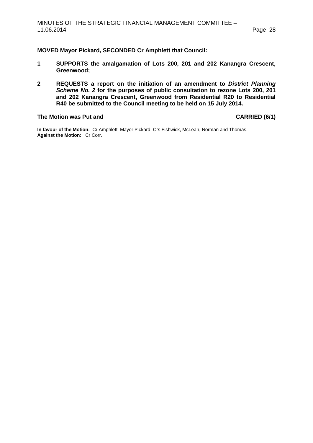## **MOVED Mayor Pickard, SECONDED Cr Amphlett that Council:**

- **1 SUPPORTS the amalgamation of Lots 200, 201 and 202 Kanangra Crescent, Greenwood;**
- **2 REQUESTS a report on the initiation of an amendment to** *District Planning Scheme No. 2* **for the purposes of public consultation to rezone Lots 200, 201 and 202 Kanangra Crescent, Greenwood from Residential R20 to Residential R40 be submitted to the Council meeting to be held on 15 July 2014.**

#### **The Motion was Put and CARRIED (6/1)**

**In favour of the Motion:** Cr Amphlett, Mayor Pickard, Crs Fishwick, McLean, Norman and Thomas. **Against the Motion:** Cr Corr.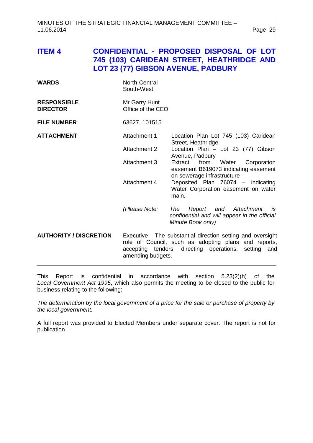<span id="page-28-0"></span>

| <b>ITEM 4</b>                         |                                    | <b>CONFIDENTIAL - PROPOSED DISPOSAL OF LOT</b><br>745 (103) CARIDEAN STREET, HEATHRIDGE AND<br><b>LOT 23 (77) GIBSON AVENUE, PADBURY</b>                                          |
|---------------------------------------|------------------------------------|-----------------------------------------------------------------------------------------------------------------------------------------------------------------------------------|
| <b>WARDS</b>                          | North-Central<br>South-West        |                                                                                                                                                                                   |
| <b>RESPONSIBLE</b><br><b>DIRECTOR</b> | Mr Garry Hunt<br>Office of the CEO |                                                                                                                                                                                   |
| <b>FILE NUMBER</b>                    | 63627, 101515                      |                                                                                                                                                                                   |
| <b>ATTACHMENT</b>                     | Attachment 1                       | Location Plan Lot 745 (103) Caridean<br>Street, Heathridge                                                                                                                        |
|                                       | Attachment 2                       | Location Plan - Lot 23 (77) Gibson<br>Avenue, Padbury                                                                                                                             |
|                                       | Attachment 3                       | Extract from Water Corporation<br>easement B619073 indicating easement<br>on sewerage infrastructure                                                                              |
|                                       | Attachment 4                       | Deposited Plan 76074 - indicating<br>Water Corporation easement on water<br>main.                                                                                                 |
|                                       | (Please Note:                      | Report and<br>Attachment<br>The<br>is<br>confidential and will appear in the official<br>Minute Book only)                                                                        |
| <b>AUTHORITY / DISCRETION</b>         | amending budgets.                  | Executive - The substantial direction setting and oversight<br>role of Council, such as adopting plans and reports,<br>accepting tenders, directing operations,<br>setting<br>and |

This Report is confidential in accordance with section 5.23(2)(h) of the *Local Government Act 1995*, which also permits the meeting to be closed to the public for business relating to the following:

*The determination by the local government of a price for the sale or purchase of property by the local government.*

A full report was provided to Elected Members under separate cover. The report is not for publication.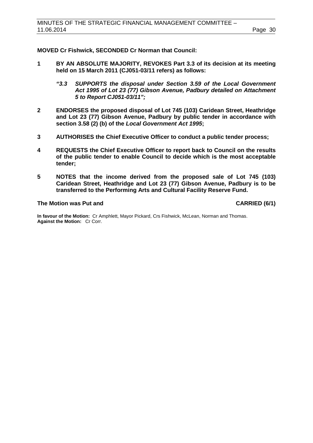**MOVED Cr Fishwick, SECONDED Cr Norman that Council:**

- **1 BY AN ABSOLUTE MAJORITY, REVOKES Part 3.3 of its decision at its meeting held on 15 March 2011 (CJ051-03/11 refers) as follows:**
	- *"3.3 SUPPORTS the disposal under Section 3.59 of the Local Government Act 1995 of Lot 23 (77) Gibson Avenue, Padbury detailed on Attachment 5 to Report CJ051-03/11";*
- **2 ENDORSES the proposed disposal of Lot 745 (103) Caridean Street, Heathridge and Lot 23 (77) Gibson Avenue, Padbury by public tender in accordance with section 3.58 (2) (b) of the** *Local Government Act 1995***;**
- **3 AUTHORISES the Chief Executive Officer to conduct a public tender process;**
- **4 REQUESTS the Chief Executive Officer to report back to Council on the results of the public tender to enable Council to decide which is the most acceptable tender;**
- **5 NOTES that the income derived from the proposed sale of Lot 745 (103) Caridean Street, Heathridge and Lot 23 (77) Gibson Avenue, Padbury is to be transferred to the Performing Arts and Cultural Facility Reserve Fund.**

#### **The Motion was Put and CARRIED (6/1)**

**In favour of the Motion:** Cr Amphlett, Mayor Pickard, Crs Fishwick, McLean, Norman and Thomas. **Against the Motion:** Cr Corr.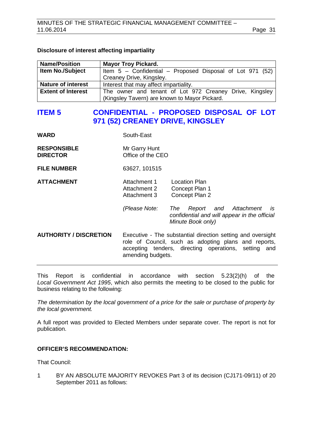# **Disclosure of interest affecting impartiality**

| <b>Name/Position</b>      | <b>Mayor Troy Pickard.</b>                                  |
|---------------------------|-------------------------------------------------------------|
| <b>Item No./Subject</b>   | Item $5$ – Confidential – Proposed Disposal of Lot 971 (52) |
|                           | Creaney Drive, Kingsley.                                    |
| <b>Nature of interest</b> | Interest that may affect impartiality.                      |
| <b>Extent of Interest</b> | The owner and tenant of Lot 972 Creaney Drive, Kingsley     |
|                           | (Kingsley Tavern) are known to Mayor Pickard.               |

# <span id="page-30-0"></span>**ITEM 5 CONFIDENTIAL - PROPOSED DISPOSAL OF LOT 971 (52) CREANEY DRIVE, KINGSLEY**

| <b>WARD</b>                           | South-East                                                                                                                                                                                       |                                                                                          |
|---------------------------------------|--------------------------------------------------------------------------------------------------------------------------------------------------------------------------------------------------|------------------------------------------------------------------------------------------|
| <b>RESPONSIBLE</b><br><b>DIRECTOR</b> | Mr Garry Hunt<br>Office of the CEO                                                                                                                                                               |                                                                                          |
| <b>FILE NUMBER</b>                    | 63627, 101515                                                                                                                                                                                    |                                                                                          |
| <b>ATTACHMENT</b>                     | Attachment 1<br>Attachment 2<br>Attachment 3<br>(Please Note:                                                                                                                                    | Location Plan<br>Concept Plan 1<br>Concept Plan 2<br>Report and Attachment<br>The<br>is. |
|                                       |                                                                                                                                                                                                  | confidential and will appear in the official<br>Minute Book only)                        |
| <b>AUTHORITY / DISCRETION</b>         | Executive - The substantial direction setting and oversight<br>role of Council, such as adopting plans and reports,<br>accepting tenders, directing operations, setting and<br>amending budgets. |                                                                                          |

This Report is confidential in accordance with section 5.23(2)(h) of the *Local Government Act 1995*, which also permits the meeting to be closed to the public for business relating to the following:

*The determination by the local government of a price for the sale or purchase of property by the local government.*

A full report was provided to Elected Members under separate cover. The report is not for publication.

# **OFFICER'S RECOMMENDATION:**

That Council:

1 BY AN ABSOLUTE MAJORITY REVOKES Part 3 of its decision (CJ171-09/11) of 20 September 2011 as follows: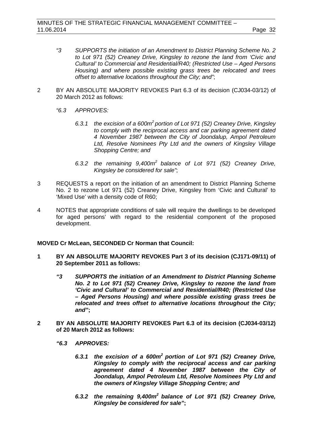- *"3 SUPPORTS the initiation of an Amendment to District Planning Scheme No. 2 to Lot 971 (52) Creaney Drive, Kingsley to rezone the land from 'Civic and Cultural' to Commercial and Residential/R40; (Restricted Use – Aged Persons Housing) and where possible existing grass trees be relocated and trees offset to alternative locations throughout the City; and"*;
- 2 BY AN ABSOLUTE MAJORITY REVOKES Part 6.3 of its decision (CJ034-03/12) of 20 March 2012 as follows:
	- *"6.3 APPROVES:*
		- *6.3.1 the excision of a 600m<sup>2</sup> portion of Lot 971 (52) Creaney Drive, Kingsley to comply with the reciprocal access and car parking agreement dated 4 November 1987 between the City of Joondalup, Ampol Petroleum Ltd, Resolve Nominees Pty Ltd and the owners of Kingsley Village Shopping Centre; and*
		- *6.3.2 the remaining 9,400m<sup>2</sup> balance of Lot 971 (52) Creaney Drive, Kingsley be considered for sale"*;
- 3 REQUESTS a report on the initiation of an amendment to District Planning Scheme No. 2 to rezone Lot 971 (52) Creaney Drive, Kingsley from 'Civic and Cultural' to 'Mixed Use' with a density code of R60;
- 4 NOTES that appropriate conditions of sale will require the dwellings to be developed for aged persons' with regard to the residential component of the proposed development.

#### **MOVED Cr McLean, SECONDED Cr Norman that Council:**

- **1 BY AN ABSOLUTE MAJORITY REVOKES Part 3 of its decision (CJ171-09/11) of 20 September 2011 as follows:**
	- *"3 SUPPORTS the initiation of an Amendment to District Planning Scheme No. 2 to Lot 971 (52) Creaney Drive, Kingsley to rezone the land from 'Civic and Cultural' to Commercial and Residential/R40; (Restricted Use – Aged Persons Housing) and where possible existing grass trees be relocated and trees offset to alternative locations throughout the City; and"***;**
- **2 BY AN ABSOLUTE MAJORITY REVOKES Part 6.3 of its decision (CJ034-03/12) of 20 March 2012 as follows:**
	- *"6.3 APPROVES:*
		- *6.3.1 the excision of a 600m2 portion of Lot 971 (52) Creaney Drive, Kingsley to comply with the reciprocal access and car parking agreement dated 4 November 1987 between the City of Joondalup, Ampol Petroleum Ltd, Resolve Nominees Pty Ltd and the owners of Kingsley Village Shopping Centre; and*
		- *6.3.2 the remaining 9,400m<sup>2</sup> balance of Lot 971 (52) Creaney Drive, Kingsley be considered for sale"***;**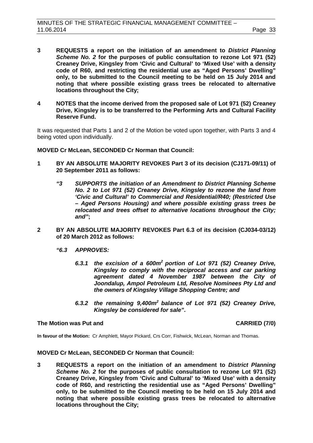- **3 REQUESTS a report on the initiation of an amendment to** *District Planning Scheme No. 2* **for the purposes of public consultation to rezone Lot 971 (52) Creaney Drive, Kingsley from 'Civic and Cultural' to 'Mixed Use' with a density code of R60, and restricting the residential use as "Aged Persons' Dwelling" only, to be submitted to the Council meeting to be held on 15 July 2014 and noting that where possible existing grass trees be relocated to alternative locations throughout the City;**
- **4 NOTES that the income derived from the proposed sale of Lot 971 (52) Creaney Drive, Kingsley is to be transferred to the Performing Arts and Cultural Facility Reserve Fund.**

It was requested that Parts 1 and 2 of the Motion be voted upon together, with Parts 3 and 4 being voted upon individually.

**MOVED Cr McLean, SECONDED Cr Norman that Council:**

- **1 BY AN ABSOLUTE MAJORITY REVOKES Part 3 of its decision (CJ171-09/11) of 20 September 2011 as follows:**
	- *"3 SUPPORTS the initiation of an Amendment to District Planning Scheme No. 2 to Lot 971 (52) Creaney Drive, Kingsley to rezone the land from 'Civic and Cultural' to Commercial and Residential/R40; (Restricted Use – Aged Persons Housing) and where possible existing grass trees be relocated and trees offset to alternative locations throughout the City; and"***;**
- **2 BY AN ABSOLUTE MAJORITY REVOKES Part 6.3 of its decision (CJ034-03/12) of 20 March 2012 as follows:**
	- *"6.3 APPROVES:*
		- *6.3.1 the excision of a 600m2 portion of Lot 971 (52) Creaney Drive, Kingsley to comply with the reciprocal access and car parking agreement dated 4 November 1987 between the City of Joondalup, Ampol Petroleum Ltd, Resolve Nominees Pty Ltd and the owners of Kingsley Village Shopping Centre; and*
		- *6.3.2 the remaining 9,400m<sup>2</sup> balance of Lot 971 (52) Creaney Drive, Kingsley be considered for sale"***.**

#### **The Motion was Put and CARRIED (7/0)**

**In favour of the Motion:** Cr Amphlett, Mayor Pickard, Crs Corr, Fishwick, McLean, Norman and Thomas.

#### **MOVED Cr McLean, SECONDED Cr Norman that Council:**

**3 REQUESTS a report on the initiation of an amendment to** *District Planning Scheme No. 2* **for the purposes of public consultation to rezone Lot 971 (52) Creaney Drive, Kingsley from 'Civic and Cultural' to 'Mixed Use' with a density code of R60, and restricting the residential use as "Aged Persons' Dwelling" only, to be submitted to the Council meeting to be held on 15 July 2014 and noting that where possible existing grass trees be relocated to alternative locations throughout the City;**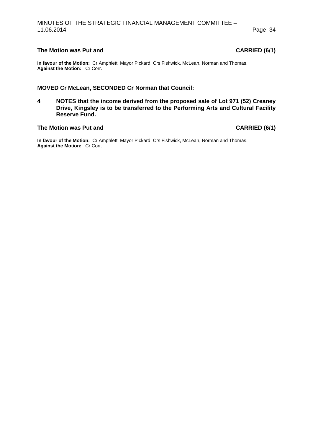# **The Motion was Put and CARRIED (6/1)**

**In favour of the Motion:** Cr Amphlett, Mayor Pickard, Crs Fishwick, McLean, Norman and Thomas. **Against the Motion:** Cr Corr.

# **MOVED Cr McLean, SECONDED Cr Norman that Council:**

**4 NOTES that the income derived from the proposed sale of Lot 971 (52) Creaney Drive, Kingsley is to be transferred to the Performing Arts and Cultural Facility Reserve Fund.**

## **The Motion was Put and CARRIED (6/1)**

**In favour of the Motion:** Cr Amphlett, Mayor Pickard, Crs Fishwick, McLean, Norman and Thomas. **Against the Motion:** Cr Corr.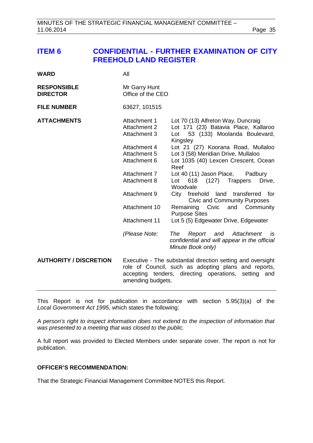# <span id="page-34-0"></span>**ITEM 6 CONFIDENTIAL - FURTHER EXAMINATION OF CITY FREEHOLD LAND REGISTER**

| <b>WARD</b>                           | All                                                                                                                                                                                                                  |                                                                                                                                                                                                                                                                                                                                                                                                                                                                                                                                                                                                                                                           |
|---------------------------------------|----------------------------------------------------------------------------------------------------------------------------------------------------------------------------------------------------------------------|-----------------------------------------------------------------------------------------------------------------------------------------------------------------------------------------------------------------------------------------------------------------------------------------------------------------------------------------------------------------------------------------------------------------------------------------------------------------------------------------------------------------------------------------------------------------------------------------------------------------------------------------------------------|
| <b>RESPONSIBLE</b><br><b>DIRECTOR</b> | Mr Garry Hunt<br>Office of the CEO                                                                                                                                                                                   |                                                                                                                                                                                                                                                                                                                                                                                                                                                                                                                                                                                                                                                           |
| <b>FILE NUMBER</b>                    | 63627, 101515                                                                                                                                                                                                        |                                                                                                                                                                                                                                                                                                                                                                                                                                                                                                                                                                                                                                                           |
| <b>ATTACHMENTS</b>                    | Attachment 1<br>Attachment 2<br><b>Attachment 3</b><br>Attachment 4<br>Attachment 5<br>Attachment 6<br>Attachment 7<br><b>Attachment 8</b><br>Attachment 9<br>Attachment 10<br><b>Attachment 11</b><br>(Please Note: | Lot 70 (13) Alfreton Way, Duncraig<br>Lot 171 (23) Batavia Place, Kallaroo<br>53 (133) Moolanda Boulevard,<br>Lot<br>Kingsley<br>Lot 21 (27) Koorana Road, Mullaloo<br>Lot 3 (58) Meridian Drive, Mullaloo<br>Lot 1035 (40) Lexcen Crescent, Ocean<br>Reef<br>Lot 40 (11) Jason Place,<br>Padbury<br>Lot<br>618 (127) Trappers<br>Drive,<br>Woodvale<br>City freehold<br>land transferred<br>for<br><b>Civic and Community Purposes</b><br>Civic and Community<br>Remaining<br><b>Purpose Sites</b><br>Lot 5 (5) Edgewater Drive, Edgewater<br>Attachment<br>The<br>Report and<br>is<br>confidential and will appear in the official<br>Minute Book only) |
| <b>AUTHORITY / DISCRETION</b>         | accepting<br>amending budgets.                                                                                                                                                                                       | Executive - The substantial direction setting and oversight<br>role of Council, such as adopting plans and reports,<br>tenders, directing operations,<br>setting<br>and                                                                                                                                                                                                                                                                                                                                                                                                                                                                                   |

This Report is not for publication in accordance with section 5.95(3)(a) of the *Local Government Act 1995*, which states the following:

*A person's right to inspect information does not extend to the inspection of information that was presented to a meeting that was closed to the public.*

A full report was provided to Elected Members under separate cover. The report is not for publication.

# **OFFICER'S RECOMMENDATION:**

That the Strategic Financial Management Committee NOTES this Report.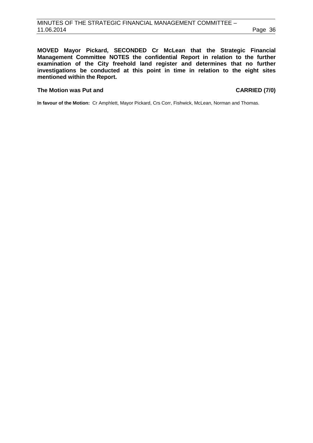**MOVED Mayor Pickard, SECONDED Cr McLean that the Strategic Financial Management Committee NOTES the confidential Report in relation to the further examination of the City freehold land register and determines that no further investigations be conducted at this point in time in relation to the eight sites mentioned within the Report.**

#### **The Motion was Put and CARRIED (7/0)**

**In favour of the Motion:** Cr Amphlett, Mayor Pickard, Crs Corr, Fishwick, McLean, Norman and Thomas.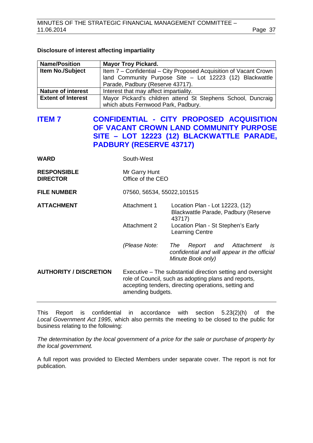## **Disclosure of interest affecting impartiality**

| <b>Name/Position</b>      | <b>Mayor Troy Pickard.</b>                                        |  |  |
|---------------------------|-------------------------------------------------------------------|--|--|
| Item No./Subject          | Item 7 - Confidential - City Proposed Acquisition of Vacant Crown |  |  |
|                           | land Community Purpose Site - Lot 12223 (12) Blackwattle          |  |  |
|                           | Parade, Padbury (Reserve 43717).                                  |  |  |
| <b>Nature of interest</b> | Interest that may affect impartiality.                            |  |  |
| <b>Extent of Interest</b> | Mayor Pickard's children attend St Stephens School, Duncraig      |  |  |
|                           | which abuts Fernwood Park, Padbury.                               |  |  |

# <span id="page-36-0"></span>**ITEM 7 CONFIDENTIAL - CITY PROPOSED ACQUISITION OF VACANT CROWN LAND COMMUNITY PURPOSE SITE – LOT 12223 (12) BLACKWATTLE PARADE, PADBURY (RESERVE 43717)**

| <b>WARD</b>                           | South-West                                                                                                                                                                                       |                                                                                                            |
|---------------------------------------|--------------------------------------------------------------------------------------------------------------------------------------------------------------------------------------------------|------------------------------------------------------------------------------------------------------------|
| <b>RESPONSIBLE</b><br><b>DIRECTOR</b> | Mr Garry Hunt<br>Office of the CEO                                                                                                                                                               |                                                                                                            |
| <b>FILE NUMBER</b>                    | 07560, 56534, 55022, 101515                                                                                                                                                                      |                                                                                                            |
| <b>ATTACHMENT</b>                     | Attachment 1                                                                                                                                                                                     | Location Plan - Lot 12223, (12)<br>Blackwattle Parade, Padbury (Reserve<br>43717)                          |
|                                       | Attachment 2                                                                                                                                                                                     | Location Plan - St Stephen's Early<br><b>Learning Centre</b>                                               |
|                                       | (Please Note:                                                                                                                                                                                    | and Attachment<br>The<br>Report<br>is<br>confidential and will appear in the official<br>Minute Book only) |
| <b>AUTHORITY / DISCRETION</b>         | Executive – The substantial direction setting and oversight<br>role of Council, such as adopting plans and reports,<br>accepting tenders, directing operations, setting and<br>amending budgets. |                                                                                                            |

This Report is confidential in accordance with section 5.23(2)(h) of the *Local Government Act 1995*, which also permits the meeting to be closed to the public for business relating to the following:

*The determination by the local government of a price for the sale or purchase of property by the local government.*

A full report was provided to Elected Members under separate cover. The report is not for publication.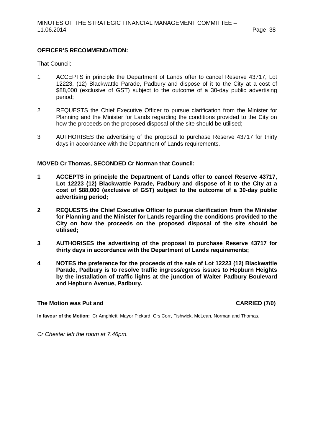## **OFFICER'S RECOMMENDATION:**

That Council:

- 1 ACCEPTS in principle the Department of Lands offer to cancel Reserve 43717, Lot 12223, (12) Blackwattle Parade, Padbury and dispose of it to the City at a cost of \$88,000 (exclusive of GST) subject to the outcome of a 30-day public advertising period;
- 2 REQUESTS the Chief Executive Officer to pursue clarification from the Minister for Planning and the Minister for Lands regarding the conditions provided to the City on how the proceeds on the proposed disposal of the site should be utilised;
- 3 AUTHORISES the advertising of the proposal to purchase Reserve 43717 for thirty days in accordance with the Department of Lands requirements.

## **MOVED Cr Thomas, SECONDED Cr Norman that Council:**

- **1 ACCEPTS in principle the Department of Lands offer to cancel Reserve 43717, Lot 12223 (12) Blackwattle Parade, Padbury and dispose of it to the City at a cost of \$88,000 (exclusive of GST) subject to the outcome of a 30-day public advertising period;**
- **2 REQUESTS the Chief Executive Officer to pursue clarification from the Minister for Planning and the Minister for Lands regarding the conditions provided to the City on how the proceeds on the proposed disposal of the site should be utilised;**
- **3 AUTHORISES the advertising of the proposal to purchase Reserve 43717 for thirty days in accordance with the Department of Lands requirements;**
- **4 NOTES the preference for the proceeds of the sale of Lot 12223 (12) Blackwattle Parade, Padbury is to resolve traffic ingress/egress issues to Hepburn Heights by the installation of traffic lights at the junction of Walter Padbury Boulevard and Hepburn Avenue, Padbury.**

# **The Motion was Put and CARRIED (7/0)**

**In favour of the Motion:** Cr Amphlett, Mayor Pickard, Crs Corr, Fishwick, McLean, Norman and Thomas.

*Cr Chester left the room at 7.46pm.*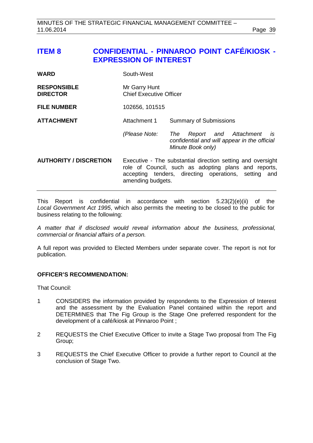# <span id="page-38-0"></span>**ITEM 8 CONFIDENTIAL - PINNAROO POINT CAFÉ/KIOSK - EXPRESSION OF INTEREST**

| <b>WARD</b>                           | South-West                                                                                                                                                                                       |                                                                                                                |
|---------------------------------------|--------------------------------------------------------------------------------------------------------------------------------------------------------------------------------------------------|----------------------------------------------------------------------------------------------------------------|
| <b>RESPONSIBLE</b><br><b>DIRECTOR</b> | Mr Garry Hunt<br><b>Chief Executive Officer</b>                                                                                                                                                  |                                                                                                                |
| <b>FILE NUMBER</b>                    | 102656, 101515                                                                                                                                                                                   |                                                                                                                |
| <b>ATTACHMENT</b>                     | Attachment 1                                                                                                                                                                                     | <b>Summary of Submissions</b>                                                                                  |
|                                       | (Please Note:                                                                                                                                                                                    | Report and Attachment<br>The<br><i>is</i><br>confidential and will appear in the official<br>Minute Book only) |
| <b>AUTHORITY / DISCRETION</b>         | Executive - The substantial direction setting and oversight<br>role of Council, such as adopting plans and reports,<br>accepting tenders, directing operations, setting and<br>amending budgets. |                                                                                                                |

This Report is confidential in accordance with section 5.23(2)(e)(ii) of the *Local Government Act 1995*, which also permits the meeting to be closed to the public for business relating to the following:

*A matter that if disclosed would reveal information about the business, professional, commercial or financial affairs of a person.*

A full report was provided to Elected Members under separate cover. The report is not for publication.

# **OFFICER'S RECOMMENDATION:**

That Council:

- 1 CONSIDERS the information provided by respondents to the Expression of Interest and the assessment by the Evaluation Panel contained within the report and DETERMINES that The Fig Group is the Stage One preferred respondent for the development of a café/kiosk at Pinnaroo Point ;
- 2 REQUESTS the Chief Executive Officer to invite a Stage Two proposal from The Fig Group;
- 3 REQUESTS the Chief Executive Officer to provide a further report to Council at the conclusion of Stage Two.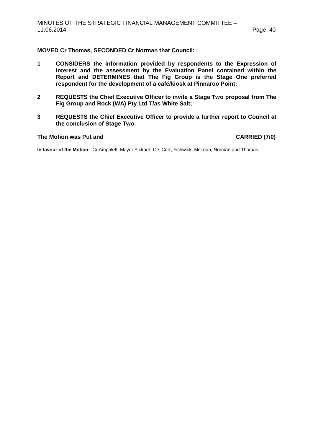# **MOVED Cr Thomas, SECONDED Cr Norman that Council:**

- **1 CONSIDERS the information provided by respondents to the Expression of Interest and the assessment by the Evaluation Panel contained within the Report and DETERMINES that The Fig Group is the Stage One preferred respondent for the development of a café/kiosk at Pinnaroo Point;**
- **2 REQUESTS the Chief Executive Officer to invite a Stage Two proposal from The Fig Group and Rock (WA) Pty Ltd T/as White Salt;**
- **3 REQUESTS the Chief Executive Officer to provide a further report to Council at the conclusion of Stage Two.**

## **The Motion was Put and CARRIED (7/0)**

**In favour of the Motion:** Cr Amphlett, Mayor Pickard, Crs Corr, Fishwick, McLean, Norman and Thomas.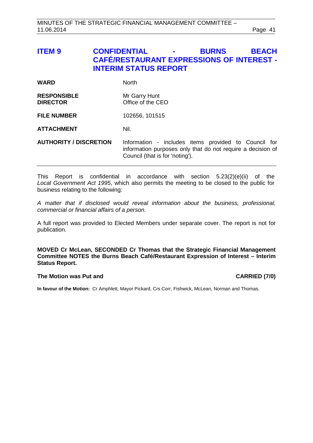# <span id="page-40-0"></span>**ITEM 9 CONFIDENTIAL - BURNS BEACH CAFÉ/RESTAURANT EXPRESSIONS OF INTEREST - INTERIM STATUS REPORT**

| WARD | <b>North</b> |
|------|--------------|
|------|--------------|

| <b>RESPONSIBLE</b> | Mr Garry Hunt     |
|--------------------|-------------------|
| <b>DIRECTOR</b>    | Office of the CEO |

**FILE NUMBER** 102656, 101515

**ATTACHMENT** Nil.

**AUTHORITY / DISCRETION** Information - includes items provided to Council for information purposes only that do not require a decision of Council (that is for 'noting').

This Report is confidential in accordance with section 5.23(2)(e)(ii) of the *Local Government Act 1995*, which also permits the meeting to be closed to the public for business relating to the following:

*A matter that if disclosed would reveal information about the business, professional, commercial or financial affairs of a person.*

A full report was provided to Elected Members under separate cover. The report is not for publication.

**MOVED Cr McLean, SECONDED Cr Thomas that the Strategic Financial Management Committee NOTES the Burns Beach Café/Restaurant Expression of Interest – Interim Status Report.**

#### **The Motion was Put and CARRIED (7/0)**

**In favour of the Motion:** Cr Amphlett, Mayor Pickard, Crs Corr, Fishwick, McLean, Norman and Thomas.